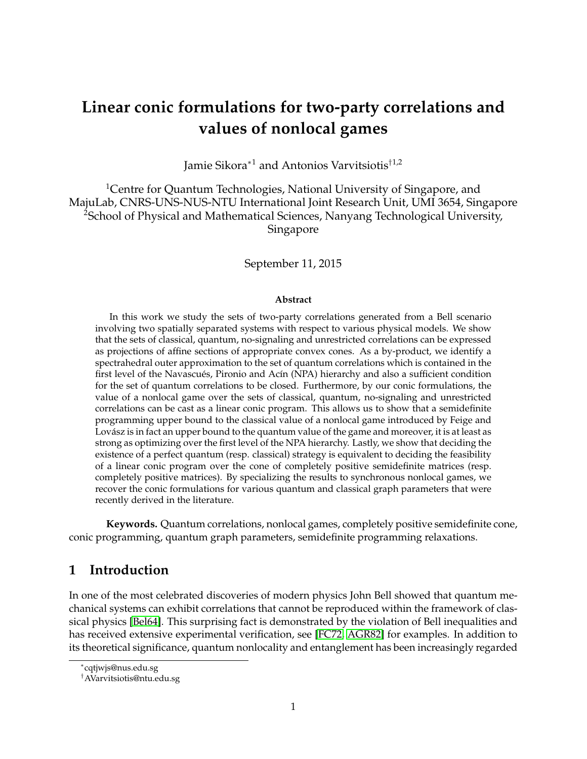# **Linear conic formulations for two-party correlations and values of nonlocal games**

Jamie Sikora<sup>∗</sup><sup>1</sup> and Antonios Varvitsiotis†1,2

<sup>1</sup>Centre for Quantum Technologies, National University of Singapore, and MajuLab, CNRS-UNS-NUS-NTU International Joint Research Unit, UMI 3654, Singapore <sup>2</sup>School of Physical and Mathematical Sciences, Nanyang Technological University, Singapore

September 11, 2015

#### **Abstract**

In this work we study the sets of two-party correlations generated from a Bell scenario involving two spatially separated systems with respect to various physical models. We show that the sets of classical, quantum, no-signaling and unrestricted correlations can be expressed as projections of affine sections of appropriate convex cones. As a by-product, we identify a spectrahedral outer approximation to the set of quantum correlations which is contained in the first level of the Navascués, Pironio and Acín (NPA) hierarchy and also a sufficient condition for the set of quantum correlations to be closed. Furthermore, by our conic formulations, the value of a nonlocal game over the sets of classical, quantum, no-signaling and unrestricted correlations can be cast as a linear conic program. This allows us to show that a semidefinite programming upper bound to the classical value of a nonlocal game introduced by Feige and Lovász is in fact an upper bound to the quantum value of the game and moreover, it is at least as strong as optimizing over the first level of the NPA hierarchy. Lastly, we show that deciding the existence of a perfect quantum (resp. classical) strategy is equivalent to deciding the feasibility of a linear conic program over the cone of completely positive semidefinite matrices (resp. completely positive matrices). By specializing the results to synchronous nonlocal games, we recover the conic formulations for various quantum and classical graph parameters that were recently derived in the literature.

**Keywords.** Quantum correlations, nonlocal games, completely positive semidefinite cone, conic programming, quantum graph parameters, semidefinite programming relaxations.

# **1 Introduction**

In one of the most celebrated discoveries of modern physics John Bell showed that quantum mechanical systems can exhibit correlations that cannot be reproduced within the framework of classical physics [\[Bel64\]](#page-31-0). This surprising fact is demonstrated by the violation of Bell inequalities and has received extensive experimental verification, see [\[FC72,](#page-32-0) [AGR82\]](#page-31-1) for examples. In addition to its theoretical significance, quantum nonlocality and entanglement has been increasingly regarded

<sup>∗</sup> cqtjwjs@nus.edu.sg

<sup>†</sup>AVarvitsiotis@ntu.edu.sg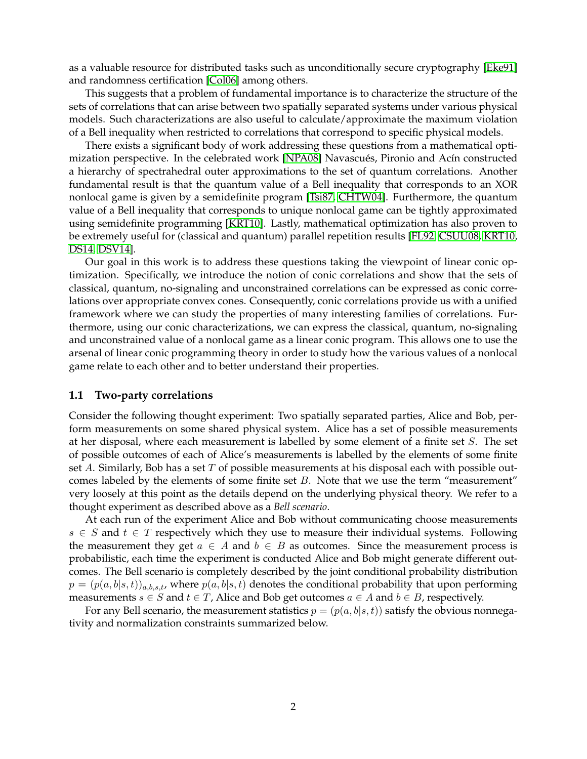as a valuable resource for distributed tasks such as unconditionally secure cryptography [\[Eke91\]](#page-32-1) and randomness certification [\[Col06\]](#page-32-2) among others.

This suggests that a problem of fundamental importance is to characterize the structure of the sets of correlations that can arise between two spatially separated systems under various physical models. Such characterizations are also useful to calculate/approximate the maximum violation of a Bell inequality when restricted to correlations that correspond to specific physical models.

There exists a significant body of work addressing these questions from a mathematical opti-mization perspective. In the celebrated work [\[NPA08\]](#page-33-0) Navascués, Pironio and Acín constructed a hierarchy of spectrahedral outer approximations to the set of quantum correlations. Another fundamental result is that the quantum value of a Bell inequality that corresponds to an XOR nonlocal game is given by a semidefinite program [\[Tsi87,](#page-33-1) [CHTW04\]](#page-32-3). Furthermore, the quantum value of a Bell inequality that corresponds to unique nonlocal game can be tightly approximated using semidefinite programming [\[KRT10\]](#page-33-2). Lastly, mathematical optimization has also proven to be extremely useful for (classical and quantum) parallel repetition results [\[FL92,](#page-32-4) [CSUU08,](#page-32-5) [KRT10,](#page-33-2) [DS14,](#page-32-6) [DSV14\]](#page-32-7).

Our goal in this work is to address these questions taking the viewpoint of linear conic optimization. Specifically, we introduce the notion of conic correlations and show that the sets of classical, quantum, no-signaling and unconstrained correlations can be expressed as conic correlations over appropriate convex cones. Consequently, conic correlations provide us with a unified framework where we can study the properties of many interesting families of correlations. Furthermore, using our conic characterizations, we can express the classical, quantum, no-signaling and unconstrained value of a nonlocal game as a linear conic program. This allows one to use the arsenal of linear conic programming theory in order to study how the various values of a nonlocal game relate to each other and to better understand their properties.

### **1.1 Two-party correlations**

Consider the following thought experiment: Two spatially separated parties, Alice and Bob, perform measurements on some shared physical system. Alice has a set of possible measurements at her disposal, where each measurement is labelled by some element of a finite set S. The set of possible outcomes of each of Alice's measurements is labelled by the elements of some finite set A. Similarly, Bob has a set  $T$  of possible measurements at his disposal each with possible outcomes labeled by the elements of some finite set  $B$ . Note that we use the term "measurement" very loosely at this point as the details depend on the underlying physical theory. We refer to a thought experiment as described above as a *Bell scenario*.

At each run of the experiment Alice and Bob without communicating choose measurements  $s \in S$  and  $t \in T$  respectively which they use to measure their individual systems. Following the measurement they get  $a \in A$  and  $b \in B$  as outcomes. Since the measurement process is probabilistic, each time the experiment is conducted Alice and Bob might generate different outcomes. The Bell scenario is completely described by the joint conditional probability distribution  $p = (p(a, b|s, t))_{a,b,s,t}$ , where  $p(a, b|s, t)$  denotes the conditional probability that upon performing measurements  $s \in S$  and  $t \in T$ , Alice and Bob get outcomes  $a \in A$  and  $b \in B$ , respectively.

For any Bell scenario, the measurement statistics  $p = (p(a, b|s, t))$  satisfy the obvious nonnegativity and normalization constraints summarized below.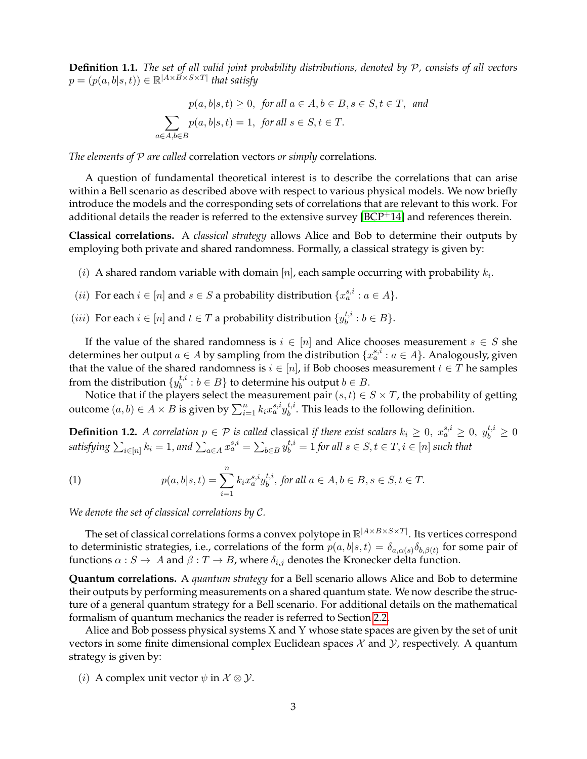**Definition 1.1.** *The set of all valid joint probability distributions, denoted by* P*, consists of all vectors*  $p = (p(a,b|s,t)) \in \mathbb{R}^{|A \times B \times S \times T|}$  that satisfy

> $p(a, b|s, t) \geq 0$ , for all  $a \in A, b \in B$ ,  $s \in S$ ,  $t \in T$ , and  $\sum$  $a \in A, b \in B$  $p(a, b|s, t) = 1$ , for all  $s \in S, t \in T$ .

*The elements of* P *are called* correlation vectors *or simply* correlations*.*

A question of fundamental theoretical interest is to describe the correlations that can arise within a Bell scenario as described above with respect to various physical models. We now briefly introduce the models and the corresponding sets of correlations that are relevant to this work. For additional details the reader is referred to the extensive survey  $[BCP^+14]$  $[BCP^+14]$  and references therein.

**Classical correlations.** A *classical strategy* allows Alice and Bob to determine their outputs by employing both private and shared randomness. Formally, a classical strategy is given by:

- (i) A shared random variable with domain [n], each sample occurring with probability  $k_i$ .
- (*ii*) For each  $i \in [n]$  and  $s \in S$  a probability distribution  $\{x_a^{s,i} : a \in A\}$ .
- (*iii*) For each  $i \in [n]$  and  $t \in T$  a probability distribution  $\{y_h^{t,i}\}$  $b_i^{t, i}: b \in B$ .

If the value of the shared randomness is  $i \in [n]$  and Alice chooses measurement  $s \in S$  she determines her output  $a \in A$  by sampling from the distribution  $\{x_a^{s,i} : a \in A\}$ . Analogously, given that the value of the shared randomness is  $i \in [n]$ , if Bob chooses measurement  $t \in T$  he samples from the distribution  $\{y^{t,i}_b : b \in B\}$  to determine his output  $b \in B.$ 

Notice that if the players select the measurement pair  $(s,t) \in S \times T$ , the probability of getting outcome  $(a, b) \in A \times B$  is given by  $\sum_{i=1}^{n} k_i x_a^{s,i} y_b^{t,i}$  $b^{i,i}$ . This leads to the following definition.

<span id="page-2-0"></span>**Definition 1.2.** A correlation  $p \in \mathcal{P}$  is called classical if there exist scalars  $k_i \geq 0$ ,  $x_a^{s,i} \geq 0$ ,  $y_b^{t,i} \geq 0$ satisfying  $\sum_{i\in[n]}k_i=1,$  and  $\sum_{a\in A}x_a^{s,i}=\sum_{b\in B}y_b^{t,i}=1$  for all  $s\in S,$   $t\in T,$   $i\in[n]$  such that

(1) 
$$
p(a,b|s,t) = \sum_{i=1}^{n} k_i x_a^{s,i} y_b^{t,i}, \text{ for all } a \in A, b \in B, s \in S, t \in T.
$$

*We denote the set of classical correlations by* C*.*

The set of classical correlations forms a convex polytope in  $\mathbb{R}^{|A \times B \times S \times T|}$ . Its vertices correspond to deterministic strategies, i.e., correlations of the form  $p(a,b|s,t) = \delta_{a,\alpha(s)}\delta_{b,\beta(t)}$  for some pair of functions  $\alpha : S \to A$  and  $\beta : T \to B$ , where  $\delta_{i,j}$  denotes the Kronecker delta function.

**Quantum correlations.** A *quantum strategy* for a Bell scenario allows Alice and Bob to determine their outputs by performing measurements on a shared quantum state. We now describe the structure of a general quantum strategy for a Bell scenario. For additional details on the mathematical formalism of quantum mechanics the reader is referred to Section [2.2.](#page-12-0)

Alice and Bob possess physical systems X and Y whose state spaces are given by the set of unit vectors in some finite dimensional complex Euclidean spaces  $\mathcal X$  and  $\mathcal Y$ , respectively. A quantum strategy is given by:

(*i*) A complex unit vector  $\psi$  in  $\mathcal{X} \otimes \mathcal{Y}$ .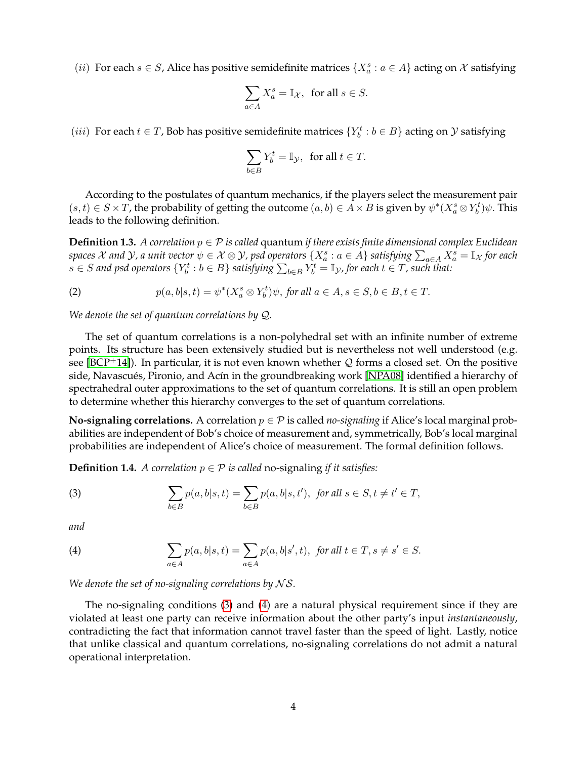(*ii*) For each  $s \in S$ , Alice has positive semidefinite matrices  $\{X_a^s : a \in A\}$  acting on X satisfying

$$
\sum_{a\in A}X_{a}^{s}=\mathbb{I}_{\mathcal{X}},\ \ \text{for all}\ s\in S.
$$

(*iii*) For each  $t \in T$ , Bob has positive semidefinite matrices  $\{Y_b^t : b \in B\}$  acting on  $\mathcal Y$  satisfying

$$
\sum_{b \in B} Y_b^t = \mathbb{I}_{\mathcal{Y}}, \text{ for all } t \in T.
$$

According to the postulates of quantum mechanics, if the players select the measurement pair  $(s,t)\in S\times T$ , the probability of getting the outcome  $(a,b)\in A\times B$  is given by  $\psi^*(X^s_a\otimes Y^t_b)\psi$ . This leads to the following definition.

<span id="page-3-2"></span>**Definition 1.3.** *A correlation* p ∈ P *is called* quantum *if there exists finite dimensional complex Euclidean*  $s$  *paces*  $\mathcal X$  *and*  $\mathcal Y$ *, a unit vector*  $\psi\in\mathcal X\otimes\mathcal Y$ , psd operators  $\{X^s_a:a\in A\}$  *satisfying*  $\sum_{a\in A}X^s_a=\mathbb I_{\mathcal X}$  for each  $s \in S$  and psd operators  $\{Y_b^t : b \in B\}$  satisfying  $\sum_{b \in B} Y_b^t = \mathbb{I}_\mathcal{Y}$ , for each  $t \in T$ , such that:

(2) 
$$
p(a,b|s,t) = \psi^*(X_a^s \otimes Y_b^t)\psi, \text{ for all } a \in A, s \in S, b \in B, t \in T.
$$

*We denote the set of quantum correlations by* Q*.*

The set of quantum correlations is a non-polyhedral set with an infinite number of extreme points. Its structure has been extensively studied but is nevertheless not well understood (e.g. see [\[BCP](#page-31-2)<sup>+</sup>14]). In particular, it is not even known whether Q forms a closed set. On the positive side, Navascués, Pironio, and Acín in the groundbreaking work [\[NPA08\]](#page-33-0) identified a hierarchy of spectrahedral outer approximations to the set of quantum correlations. It is still an open problem to determine whether this hierarchy converges to the set of quantum correlations.

**No-signaling correlations.** A correlation  $p \in \mathcal{P}$  is called *no-signaling* if Alice's local marginal probabilities are independent of Bob's choice of measurement and, symmetrically, Bob's local marginal probabilities are independent of Alice's choice of measurement. The formal definition follows.

**Definition 1.4.** *A correlation*  $p \in \mathcal{P}$  *is called* no-signaling *if it satisfies:* 

<span id="page-3-0"></span>(3) 
$$
\sum_{b \in B} p(a, b|s, t) = \sum_{b \in B} p(a, b|s, t'), \text{ for all } s \in S, t \neq t' \in T,
$$

*and*

<span id="page-3-1"></span>(4) 
$$
\sum_{a\in A} p(a,b|s,t) = \sum_{a\in A} p(a,b|s',t), \text{ for all } t \in T, s \neq s' \in S.
$$

*We denote the set of no-signaling correlations by* N S*.*

The no-signaling conditions [\(3\)](#page-3-0) and [\(4\)](#page-3-1) are a natural physical requirement since if they are violated at least one party can receive information about the other party's input *instantaneously*, contradicting the fact that information cannot travel faster than the speed of light. Lastly, notice that unlike classical and quantum correlations, no-signaling correlations do not admit a natural operational interpretation.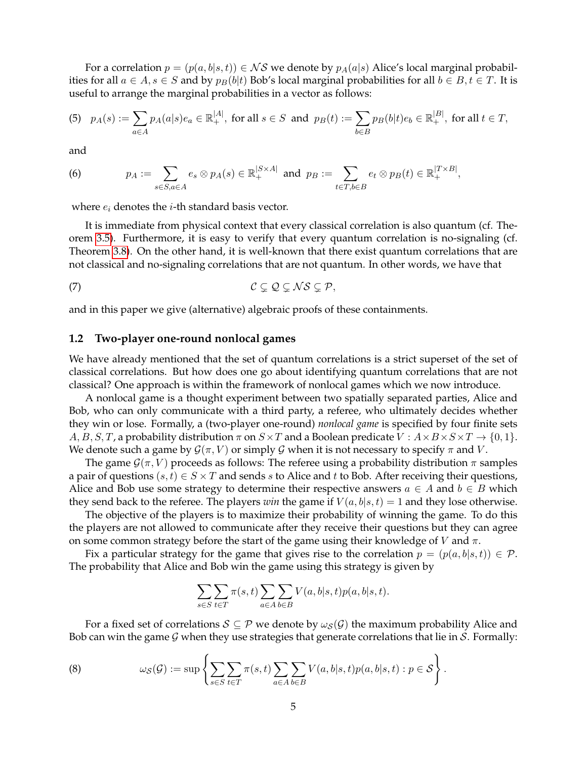For a correlation  $p = (p(a, b|s, t)) \in NS$  we denote by  $p_A(a|s)$  Alice's local marginal probabilities for all  $a \in A$ ,  $s \in S$  and by  $p_B(b|t)$  Bob's local marginal probabilities for all  $b \in B$ ,  $t \in T$ . It is useful to arrange the marginal probabilities in a vector as follows:

$$
(5) \quad p_A(s) := \sum_{a \in A} p_A(a|s)e_a \in \mathbb{R}_+^{|A|}, \text{ for all } s \in S \text{ and } p_B(t) := \sum_{b \in B} p_B(b|t)e_b \in \mathbb{R}_+^{|B|}, \text{ for all } t \in T,
$$

and

<span id="page-4-1"></span>(6) 
$$
p_A := \sum_{s \in S, a \in A} e_s \otimes p_A(s) \in \mathbb{R}_+^{|S \times A|} \text{ and } p_B := \sum_{t \in T, b \in B} e_t \otimes p_B(t) \in \mathbb{R}_+^{|T \times B|},
$$

where  $e_i$  denotes the *i*-th standard basis vector.

It is immediate from physical context that every classical correlation is also quantum (cf. Theorem [3.5\)](#page-16-0). Furthermore, it is easy to verify that every quantum correlation is no-signaling (cf. Theorem [3.8\)](#page-18-0). On the other hand, it is well-known that there exist quantum correlations that are not classical and no-signaling correlations that are not quantum. In other words, we have that

<span id="page-4-0"></span>
$$
C \subsetneq Q \subsetneq \mathcal{N} \mathcal{S} \subsetneq \mathcal{P},
$$

and in this paper we give (alternative) algebraic proofs of these containments.

#### **1.2 Two-player one-round nonlocal games**

We have already mentioned that the set of quantum correlations is a strict superset of the set of classical correlations. But how does one go about identifying quantum correlations that are not classical? One approach is within the framework of nonlocal games which we now introduce.

A nonlocal game is a thought experiment between two spatially separated parties, Alice and Bob, who can only communicate with a third party, a referee, who ultimately decides whether they win or lose. Formally, a (two-player one-round) *nonlocal game* is specified by four finite sets  $A, B, S, T$ , a probability distribution  $\pi$  on  $S \times T$  and a Boolean predicate  $V : A \times B \times S \times T \rightarrow \{0, 1\}$ . We denote such a game by  $\mathcal{G}(\pi, V)$  or simply  $\mathcal G$  when it is not necessary to specify  $\pi$  and  $V$ .

The game  $\mathcal{G}(\pi, V)$  proceeds as follows: The referee using a probability distribution  $\pi$  samples a pair of questions  $(s, t) \in S \times T$  and sends s to Alice and t to Bob. After receiving their questions, Alice and Bob use some strategy to determine their respective answers  $a \in A$  and  $b \in B$  which they send back to the referee. The players *win* the game if  $V(a, b|s, t) = 1$  and they lose otherwise.

The objective of the players is to maximize their probability of winning the game. To do this the players are not allowed to communicate after they receive their questions but they can agree on some common strategy before the start of the game using their knowledge of V and  $\pi$ .

Fix a particular strategy for the game that gives rise to the correlation  $p = (p(a, b|s, t)) \in \mathcal{P}$ . The probability that Alice and Bob win the game using this strategy is given by

$$
\sum_{s\in S}\sum_{t\in T}\pi(s,t)\sum_{a\in A}\sum_{b\in B}V(a,b|s,t)p(a,b|s,t).
$$

For a fixed set of correlations  $S \subseteq \mathcal{P}$  we denote by  $\omega_{S}(\mathcal{G})$  the maximum probability Alice and Bob can win the game  $G$  when they use strategies that generate correlations that lie in  $S$ . Formally:

(8) 
$$
\omega_{\mathcal{S}}(\mathcal{G}) := \sup \left\{ \sum_{s \in S} \sum_{t \in T} \pi(s, t) \sum_{a \in A} \sum_{b \in B} V(a, b | s, t) p(a, b | s, t) : p \in \mathcal{S} \right\}
$$

.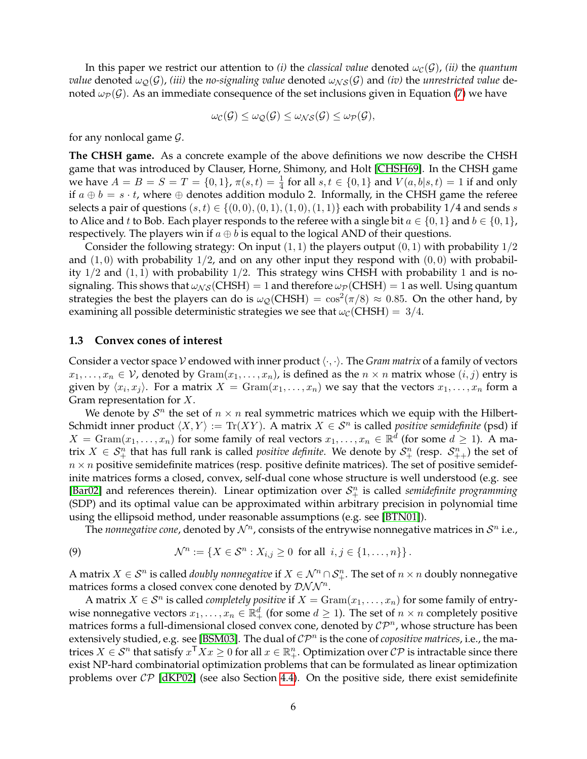In this paper we restrict our attention to *(i)* the *classical value* denoted  $\omega_c(\mathcal{G})$ *, (ii)* the *quantum value* denoted  $\omega_{\mathcal{Q}}(\mathcal{G})$ , *(iii)* the *no-signaling value* denoted  $\omega_{\mathcal{NS}}(\mathcal{G})$  and *(iv)* the *unrestricted value* denoted  $\omega_{\mathcal{P}}(\mathcal{G})$ . As an immediate consequence of the set inclusions given in Equation [\(7\)](#page-4-0) we have

$$
\omega_{\mathcal{C}}(\mathcal{G}) \leq \omega_{\mathcal{Q}}(\mathcal{G}) \leq \omega_{\mathcal{NS}}(\mathcal{G}) \leq \omega_{\mathcal{P}}(\mathcal{G}),
$$

for any nonlocal game  $\mathcal{G}$ .

**The CHSH game.** As a concrete example of the above definitions we now describe the CHSH game that was introduced by Clauser, Horne, Shimony, and Holt [\[CHSH69\]](#page-32-8). In the CHSH game we have  $A = B = S = T = \{0, 1\}$ ,  $\pi(s, t) = \frac{1}{4}$  for all  $s, t \in \{0, 1\}$  and  $V(a, b|s, t) = 1$  if and only if  $a \oplus b = s \cdot t$ , where  $\oplus$  denotes addition modulo 2. Informally, in the CHSH game the referee selects a pair of questions  $(s, t) \in \{(0, 0), (0, 1), (1, 0), (1, 1)\}$  each with probability 1/4 and sends s to Alice and t to Bob. Each player responds to the referee with a single bit  $a \in \{0, 1\}$  and  $b \in \{0, 1\}$ , respectively. The players win if  $a \oplus b$  is equal to the logical AND of their questions.

Consider the following strategy: On input  $(1, 1)$  the players output  $(0, 1)$  with probability  $1/2$ and  $(1,0)$  with probability  $1/2$ , and on any other input they respond with  $(0,0)$  with probability  $1/2$  and  $(1, 1)$  with probability  $1/2$ . This strategy wins CHSH with probability 1 and is nosignaling. This shows that  $\omega_{NS}(CHSH) = 1$  and therefore  $\omega_{\mathcal{P}}(CHSH) = 1$  as well. Using quantum strategies the best the players can do is  $\omega_{\mathcal{Q}}(CHSH) = \cos^2(\pi/8) \approx 0.85$ . On the other hand, by examining all possible deterministic strategies we see that  $\omega_c$  (CHSH) = 3/4.

#### **1.3 Convex cones of interest**

Consider a vector space V endowed with inner product  $\langle \cdot, \cdot \rangle$ . The *Gram matrix* of a family of vectors  $x_1, \ldots, x_n \in \mathcal{V}$ , denoted by  $\text{Gram}(x_1, \ldots, x_n)$ , is defined as the  $n \times n$  matrix whose  $(i, j)$  entry is given by  $\langle x_i, x_j \rangle$ . For a matrix  $X = \text{Gram}(x_1, \ldots, x_n)$  we say that the vectors  $x_1, \ldots, x_n$  form a Gram representation for  $X$ .

We denote by  $S<sup>n</sup>$  the set of  $n \times n$  real symmetric matrices which we equip with the Hilbert-Schmidt inner product  $\langle X, Y \rangle := \text{Tr}(XY)$ . A matrix  $X \in \mathcal{S}^n$  is called *positive semidefinite* (psd) if  $X = \text{Gram}(x_1, \ldots, x_n)$  for some family of real vectors  $x_1, \ldots, x_n \in \mathbb{R}^d$  (for some  $d \geq 1$ ). A matrix  $X \in S^n_+$  that has full rank is called *positive definite*. We denote by  $S^n_+$  (resp.  $S^n_{++}$ ) the set of  $n \times n$  positive semidefinite matrices (resp. positive definite matrices). The set of positive semidefinite matrices forms a closed, convex, self-dual cone whose structure is well understood (e.g. see [\[Bar02\]](#page-31-3) and references therein). Linear optimization over  $S_{+}^{n}$  is called *semidefinite programming* (SDP) and its optimal value can be approximated within arbitrary precision in polynomial time using the ellipsoid method, under reasonable assumptions (e.g. see [\[BTN01\]](#page-31-4)).

The *nonnegative cone,* denoted by  $\mathcal{N}^n$ , consists of the entrywise nonnegative matrices in  $\mathcal{S}^n$  i.e.,

(9) 
$$
\mathcal{N}^n := \{ X \in \mathcal{S}^n : X_{i,j} \geq 0 \text{ for all } i,j \in \{1,\ldots,n\} \}.
$$

A matrix  $X \in \mathcal{S}^n$  is called *doubly nonnegative* if  $X \in \mathcal{N}^n \cap \mathcal{S}^n_+$ . The set of  $n \times n$  doubly nonnegative matrices forms a closed convex cone denoted by  $\mathcal{DNN}^n$ .

A matrix  $X \in \mathcal{S}^n$  is called *completely positive* if  $X = \text{Gram}(x_1, \ldots, x_n)$  for some family of entrywise nonnegative vectors  $x_1, \ldots, x_n \in \mathbb{R}^d_+$  (for some  $d \geq 1$ ). The set of  $n \times n$  completely positive matrices forms a full-dimensional closed convex cone, denoted by  $\mathcal{CP}^n$ , whose structure has been extensively studied, e.g. see [\[BSM03\]](#page-31-5). The dual of  $\mathcal{CP}^n$  is the cone of *copositive matrices*, i.e., the matrices  $X \in \mathcal{S}^n$  that satisfy  $x^\top X x \geq 0$  for all  $x \in \mathbb{R}^n_+$ . Optimization over  $\mathcal{CP}$  is intractable since there exist NP-hard combinatorial optimization problems that can be formulated as linear optimization problems over  $\mathcal{CP}$  [\[dKP02\]](#page-32-9) (see also Section [4.4\)](#page-23-0). On the positive side, there exist semidefinite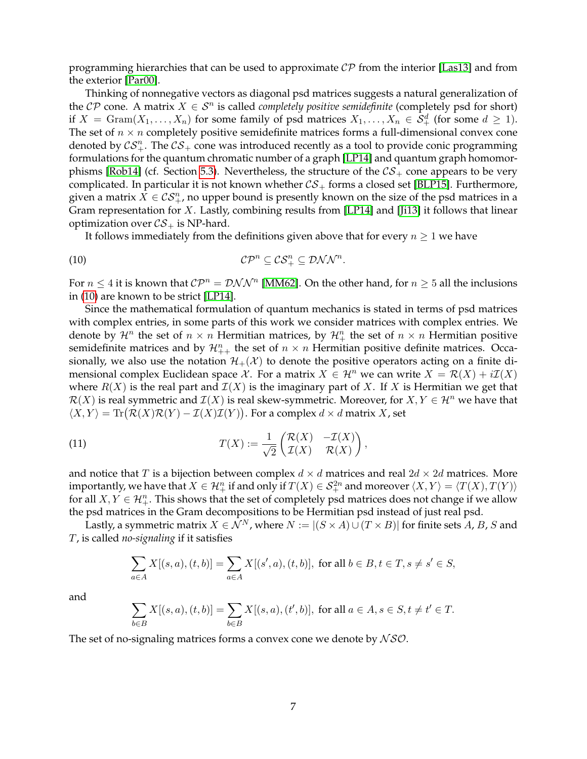programming hierarchies that can be used to approximate  $\mathcal{CP}$  from the interior [\[Las13\]](#page-33-3) and from the exterior [\[Par00\]](#page-33-4).

Thinking of nonnegative vectors as diagonal psd matrices suggests a natural generalization of the  $\mathcal{CP}$  cone. A matrix  $X \in \mathcal{S}^n$  is called *completely positive semidefinite* (completely psd for short) if  $X = \text{Gram}(X_1, \ldots, X_n)$  for some family of psd matrices  $X_1, \ldots, X_n \in \mathcal{S}_+^d$  (for some  $d \geq 1$ ). The set of  $n \times n$  completely positive semidefinite matrices forms a full-dimensional convex cone denoted by  $\mathcal{CS}_{+}^n$ . The  $\mathcal{CS}_{+}$  cone was introduced recently as a tool to provide conic programming formulations for the quantum chromatic number of a graph [\[LP14\]](#page-33-5) and quantum graph homomor-phisms [\[Rob14\]](#page-33-6) (cf. Section [5.3\)](#page-27-0). Nevertheless, the structure of the  $\mathcal{CS}_+$  cone appears to be very complicated. In particular it is not known whether  $\mathcal{CS}_+$  forms a closed set [\[BLP15\]](#page-31-6). Furthermore, given a matrix  $X\in\mathcal{CS}^n_+$ , no upper bound is presently known on the size of the psd matrices in a Gram representation for  $X$ . Lastly, combining results from [\[LP14\]](#page-33-5) and [\[Ji13\]](#page-32-10) it follows that linear optimization over  $CS_+$  is NP-hard.

<span id="page-6-0"></span>It follows immediately from the definitions given above that for every  $n \geq 1$  we have

$$
C\mathcal{P}^n \subseteq \mathcal{CS}_+^n \subseteq \mathcal{DNN}^n.
$$

For  $n \leq 4$  it is known that  $\mathcal{CP}^n = \mathcal{DNN}^n$  [\[MM62\]](#page-33-7). On the other hand, for  $n \geq 5$  all the inclusions in [\(10\)](#page-6-0) are known to be strict [\[LP14\]](#page-33-5).

Since the mathematical formulation of quantum mechanics is stated in terms of psd matrices with complex entries, in some parts of this work we consider matrices with complex entries. We denote by  $\mathcal{H}^n$  the set of  $n \times n$  Hermitian matrices, by  $\mathcal{H}^n_+$  the set of  $n \times n$  Hermitian positive semidefinite matrices and by  $\mathcal{H}_{++}^n$  the set of  $n \times n$  Hermitian positive definite matrices. Occasionally, we also use the notation  $\mathcal{H}_+(\mathcal{X})$  to denote the positive operators acting on a finite dimensional complex Euclidean space X. For a matrix  $X \in \mathcal{H}^n$  we can write  $X = \mathcal{R}(X) + i\mathcal{I}(X)$ where  $R(X)$  is the real part and  $\mathcal{I}(X)$  is the imaginary part of X. If X is Hermitian we get that  $\mathcal{R}(X)$  is real symmetric and  $\mathcal{I}(X)$  is real skew-symmetric. Moreover, for  $X, Y \in \mathcal{H}^n$  we have that  $\langle X, Y \rangle = \text{Tr}(\mathcal{R}(X)\mathcal{R}(Y) - \mathcal{I}(X)\mathcal{I}(Y)).$  For a complex  $d \times d$  matrix X, set

(11) 
$$
T(X) := \frac{1}{\sqrt{2}} \begin{pmatrix} \mathcal{R}(X) & -\mathcal{I}(X) \\ \mathcal{I}(X) & \mathcal{R}(X) \end{pmatrix},
$$

and notice that T is a bijection between complex  $d \times d$  matrices and real  $2d \times 2d$  matrices. More importantly, we have that  $X\in\mathcal{H}^n_+$  if and only if  $T(X)\in\mathcal{S}^{2n}_+$  and moreover  $\langle X,Y\rangle=\langle T(X),T(Y)\rangle$ for all  $X, Y \in \mathcal{H}_+^n$ . This shows that the set of completely psd matrices does not change if we allow the psd matrices in the Gram decompositions to be Hermitian psd instead of just real psd.

Lastly, a symmetric matrix  $X \in \mathcal{N}^N$ , where  $N := |(S \times A) \cup (T \times B)|$  for finite sets A, B, S and T, is called *no-signaling* if it satisfies

$$
\sum_{a \in A} X[(s, a), (t, b)] = \sum_{a \in A} X[(s', a), (t, b)], \text{ for all } b \in B, t \in T, s \neq s' \in S,
$$

and

$$
\sum_{b \in B} X[(s, a), (t, b)] = \sum_{b \in B} X[(s, a), (t', b)], \text{ for all } a \in A, s \in S, t \neq t' \in T.
$$

The set of no-signaling matrices forms a convex cone we denote by  $\mathcal{NSO}$ .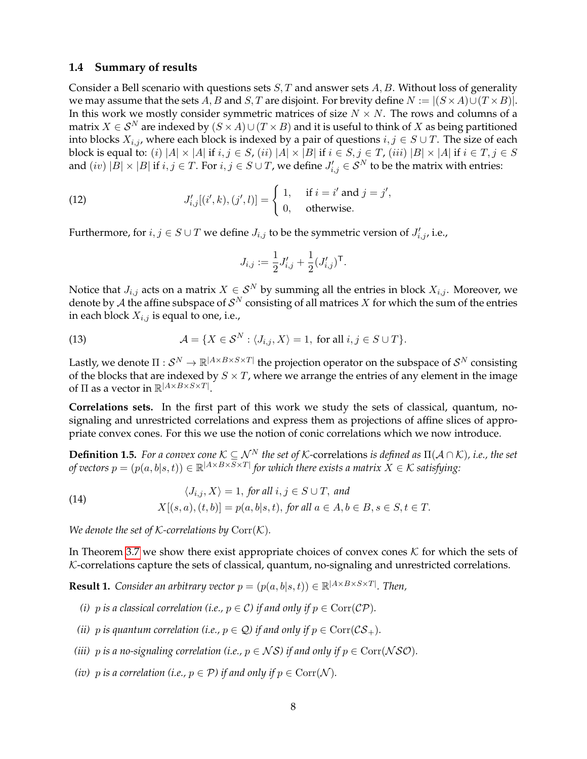#### **1.4 Summary of results**

Consider a Bell scenario with questions sets  $S, T$  and answer sets  $A, B$ . Without loss of generality we may assume that the sets A, B and S, T are disjoint. For brevity define  $N := |(S \times A) \cup (T \times B)|$ . In this work we mostly consider symmetric matrices of size  $N \times N$ . The rows and columns of a matrix  $X \in S^N$  are indexed by  $(S \times A) \cup (T \times B)$  and it is useful to think of X as being partitioned into blocks  $X_{i,j}$ , where each block is indexed by a pair of questions  $i, j \in S \cup T$ . The size of each block is equal to: (i)  $|A| \times |A|$  if  $i, j \in S$ , (ii)  $|A| \times |B|$  if  $i \in S$ ,  $j \in T$ , (iii)  $|B| \times |A|$  if  $i \in T$ ,  $j \in S$ and  $(iv)$   $|B|\times |B|$  if  $i,j\in T.$  For  $i,j\in S\cup T$ , we define  $J'_{i,j}\in \mathcal{S}^N$  to be the matrix with entries:

(12) 
$$
J'_{i,j}[(i',k),(j',l)] = \begin{cases} 1, & \text{if } i = i' \text{ and } j = j', \\ 0, & \text{otherwise.} \end{cases}
$$

Furthermore, for  $i, j \in S \cup T$  we define  $J_{i,j}$  to be the symmetric version of  $J'_{i,j}$ , i.e.,

<span id="page-7-2"></span>
$$
J_{i,j} := \frac{1}{2} J'_{i,j} + \frac{1}{2} (J'_{i,j})^{\mathsf{T}}.
$$

Notice that  $J_{i,j}$  acts on a matrix  $X \in S^N$  by summing all the entries in block  $X_{i,j}$ . Moreover, we denote by  ${\mathcal{A}}$  the affine subspace of  ${\mathcal{S}}^N$  consisting of all matrices  $X$  for which the sum of the entries in each block  $X_{i,j}$  is equal to one, i.e.,

(13) 
$$
\mathcal{A} = \{X \in \mathcal{S}^N : \langle J_{i,j}, X \rangle = 1, \text{ for all } i, j \in S \cup T\}.
$$

Lastly, we denote  $\Pi:\mathcal{S}^N\to\mathbb{R}^{|A\times B\times S\times T|}$  the projection operator on the subspace of  $\mathcal{S}^N$  consisting of the blocks that are indexed by  $S \times T$ , where we arrange the entries of any element in the image of  $\Pi$  as a vector in  $\mathbb{R}^{|A \times B \times S \times T|}$ .

**Correlations sets.** In the first part of this work we study the sets of classical, quantum, nosignaling and unrestricted correlations and express them as projections of affine slices of appropriate convex cones. For this we use the notion of conic correlations which we now introduce.

<span id="page-7-1"></span>**Definition 1.5.** *For a convex cone*  $K \subseteq \mathcal{N}^N$  *the set of K*-correlations *is defined as*  $\Pi(\mathcal{A} \cap \mathcal{K})$ *, i.e., the set of vectors*  $p = (p(a,b|s,t)) \in \mathbb{R}^{|A \times B \times S \times T|}$  *for which there exists a matrix*  $X \in \mathcal{K}$  *satisfying:* 

(14) 
$$
\langle J_{i,j}, X \rangle = 1, \text{ for all } i, j \in S \cup T, \text{ and}
$$

$$
X[(s, a), (t, b)] = p(a, b|s, t), \text{ for all } a \in A, b \in B, s \in S, t \in T.
$$

*We denote the set of K-correlations by*  $Corr(K)$ *.* 

In Theorem [3.7](#page-17-0) we show there exist appropriate choices of convex cones  $K$  for which the sets of  $K$ -correlations capture the sets of classical, quantum, no-signaling and unrestricted correlations.

<span id="page-7-0"></span>**Result 1.** *Consider an arbitrary vector*  $p = (p(a, b|s, t)) \in \mathbb{R}^{|A \times B \times S \times T|}$ *. Then,* 

- *(i)* p *is a classical correlation (i.e.,*  $p \in C$ *) if and only if*  $p \in \text{Corr}(\mathcal{CP})$ *.*
- *(ii)* p *is quantum correlation (i.e.,*  $p \in \mathcal{Q}$ *) if and only if*  $p \in \text{Corr}(\mathcal{CS}_+)$ *.*
- *(iii)* p *is a no-signaling correlation (i.e.,*  $p \in NS$ ) *if and only if*  $p \in \text{Corr}(\mathcal{NSO})$ *.*
- *(iv)* p *is a correlation (i.e.,*  $p \in \mathcal{P}$ *) if and only if*  $p \in \text{Corr}(\mathcal{N})$ *.*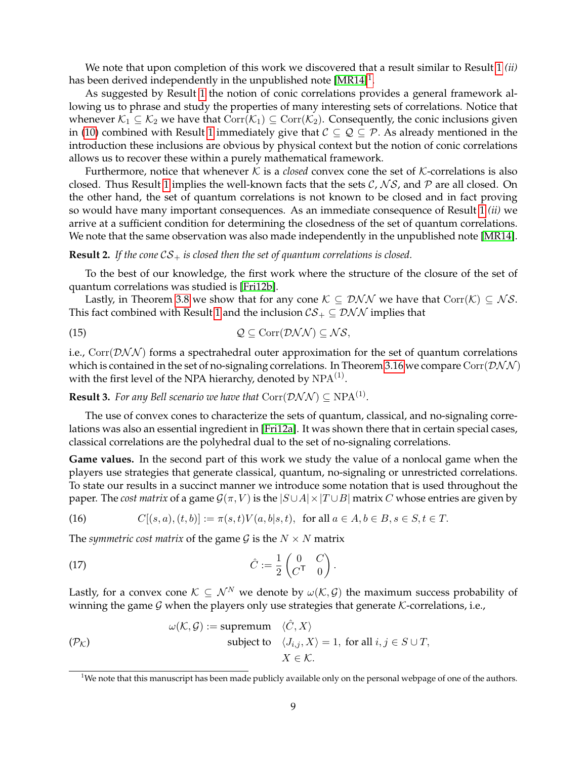We note that upon completion of this work we discovered that a result similar to Result [1](#page-7-0) *(ii)* has been derived independently in the unpublished note [\[MR14\]](#page-33-8) $^1$  $^1$ .

As suggested by Result [1](#page-7-0) the notion of conic correlations provides a general framework allowing us to phrase and study the properties of many interesting sets of correlations. Notice that whenever  $K_1 \subseteq K_2$  we have that  $Corr(K_1) \subseteq Corr(K_2)$ . Consequently, the conic inclusions given in [\(10\)](#page-6-0) combined with Result [1](#page-7-0) immediately give that  $\mathcal{C} \subseteq \mathcal{Q} \subseteq \mathcal{P}$ . As already mentioned in the introduction these inclusions are obvious by physical context but the notion of conic correlations allows us to recover these within a purely mathematical framework.

Furthermore, notice that whenever  $K$  is a *closed* convex cone the set of  $K$ -correlations is also closed. Thus Result [1](#page-7-0) implies the well-known facts that the sets  $C$ ,  $\mathcal{NS}$ , and  $\mathcal{P}$  are all closed. On the other hand, the set of quantum correlations is not known to be closed and in fact proving so would have many important consequences. As an immediate consequence of Result [1](#page-7-0) *(ii)* we arrive at a sufficient condition for determining the closedness of the set of quantum correlations. We note that the same observation was also made independently in the unpublished note [\[MR14\]](#page-33-8).

#### **Result 2.** If the cone  $CS_+$  is closed then the set of quantum correlations is closed.

To the best of our knowledge, the first work where the structure of the closure of the set of quantum correlations was studied is [\[Fri12b\]](#page-32-11).

Lastly, in Theorem [3.8](#page-18-0) we show that for any cone  $K \subseteq \mathcal{DNN}$  we have that  $Corr(K) \subseteq NS$ . This fact combined with Result [1](#page-7-0) and the inclusion  $CS_+ \subseteq \mathcal{DNN}$  implies that

$$
Q \subseteq \text{Corr}(\mathcal{DNN}) \subseteq \mathcal{NS},
$$

i.e.,  $Corr(DNN)$  forms a spectrahedral outer approximation for the set of quantum correlations which is contained in the set of no-signaling correlations. In Theorem [3.16](#page-19-0) we compare Corr( $\mathcal{DNN}$ ) with the first level of the NPA hierarchy, denoted by  $\mathrm{NPA}^{(1)}.$ 

<span id="page-8-2"></span>**Result 3.** *For any Bell scenario we have that*  $\text{Corr}(\mathcal{DNN}) \subseteq \text{NPA}^{(1)}$ *.* 

The use of convex cones to characterize the sets of quantum, classical, and no-signaling correlations was also an essential ingredient in [\[Fri12a\]](#page-32-12). It was shown there that in certain special cases, classical correlations are the polyhedral dual to the set of no-signaling correlations.

**Game values.** In the second part of this work we study the value of a nonlocal game when the players use strategies that generate classical, quantum, no-signaling or unrestricted correlations. To state our results in a succinct manner we introduce some notation that is used throughout the paper. The *cost matrix* of a game  $\mathcal{G}(\pi, V)$  is the  $|S \cup A| \times |T \cup B|$  matrix C whose entries are given by

(16) 
$$
C[(s, a), (t, b)] := \pi(s, t)V(a, b|s, t), \text{ for all } a \in A, b \in B, s \in S, t \in T.
$$

The *symmetric cost matrix* of the game  $G$  is the  $N \times N$  matrix

$$
\hat{C} := \frac{1}{2} \begin{pmatrix} 0 & C \\ C^{\mathsf{T}} & 0 \end{pmatrix}
$$

Lastly, for a convex cone  $K \subseteq \mathcal{N}^N$  we denote by  $\omega(K, \mathcal{G})$  the maximum success probability of winning the game  $G$  when the players only use strategies that generate  $K$ -correlations, i.e.,

.

<span id="page-8-1"></span>
$$
\omega(K, \mathcal{G}) := \text{supremum} \quad \langle \hat{C}, X \rangle
$$
  
subject to  $\langle J_{i,j}, X \rangle = 1$ , for all  $i, j \in S \cup T$ ,  
 $X \in \mathcal{K}$ .

<span id="page-8-0"></span><sup>&</sup>lt;sup>1</sup>We note that this manuscript has been made publicly available only on the personal webpage of one of the authors.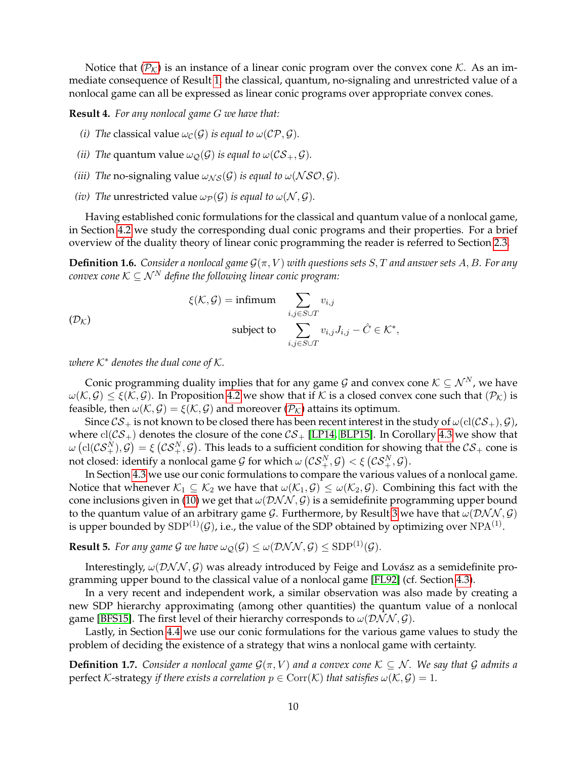Notice that  $(\mathcal{P}_K)$  $(\mathcal{P}_K)$  $(\mathcal{P}_K)$  is an instance of a linear conic program over the convex cone K. As an immediate consequence of Result [1,](#page-7-0) the classical, quantum, no-signaling and unrestricted value of a nonlocal game can all be expressed as linear conic programs over appropriate convex cones.

**Result 4.** *For any nonlocal game* G *we have that:*

- *(i) The* classical value  $\omega_{\mathcal{C}}(\mathcal{G})$  *is equal to*  $\omega(\mathcal{CP}, \mathcal{G})$ *.*
- *(ii) The* quantum value  $\omega_{\mathcal{O}}(\mathcal{G})$  *is equal to*  $\omega(\mathcal{CS}_+,\mathcal{G})$ *.*
- *(iii) The* no-signaling value  $\omega_{NS}(\mathcal{G})$  *is equal to*  $\omega(NSO,\mathcal{G})$ *.*
- *(iv) The* unrestricted value  $\omega_{\mathcal{P}}(\mathcal{G})$  *is equal to*  $\omega(\mathcal{N}, \mathcal{G})$ *.*

Having established conic formulations for the classical and quantum value of a nonlocal game, in Section [4.2](#page-21-1) we study the corresponding dual conic programs and their properties. For a brief overview of the duality theory of linear conic programming the reader is referred to Section [2.3.](#page-13-0)

**Definition 1.6.** *Consider a nonlocal game*  $\mathcal{G}(\pi, V)$  *with questions sets S, T and answer sets A, B. For any convex cone*  $K \subseteq \mathcal{N}^N$  *define the following linear conic program:* 

$$
\xi(\mathcal{K}, \mathcal{G}) = \text{infimum} \sum_{i,j \in S \cup T} v_{i,j}
$$
  
subject to 
$$
\sum_{i,j \in S \cup T} v_{i,j} J_{i,j} - \hat{C} \in \mathcal{K}^*,
$$

*where*  $K^*$  *denotes the dual cone of*  $K$ *.* 

Conic programming duality implies that for any game G and convex cone  $K \subseteq \mathcal{N}^N$ , we have  $\omega(\mathcal{K}, \mathcal{G}) \leq \xi(\mathcal{K}, \mathcal{G})$ . In Proposition [4.2](#page-21-2) we show that if K is a closed convex cone such that  $(\mathcal{P}_\mathcal{K})$  is feasible, then  $\omega(\mathcal{K}, \mathcal{G}) = \xi(\mathcal{K}, \mathcal{G})$  and moreover  $(\mathcal{P}_{\mathcal{K}})$  $(\mathcal{P}_{\mathcal{K}})$  $(\mathcal{P}_{\mathcal{K}})$  attains its optimum.

Since  $CS_+$  is not known to be closed there has been recent interest in the study of  $\omega(\text{cl}(CS_+), \mathcal{G})$ , where  $\text{cl}(\mathcal{CS}_+)$  denotes the closure of the cone  $\mathcal{CS}_+$  [\[LP14,](#page-33-5) [BLP15\]](#page-31-6). In Corollary [4.3](#page-22-0) we show that  $\omega\left(\mathrm{cl}(\mathcal{CS}^N_+),\mathcal{G}\right)=\xi\left(\mathcal{CS}^N_+,\mathcal{G}\right).$  This leads to a sufficient condition for showing that the  $\mathcal{CS}_+$  cone is not closed: identify a nonlocal game  $\mathcal G$  for which  $\omega\left(\mathcal{CS}^N_+,\mathcal G\right)<\xi\left(\mathcal{CS}^N_+,\mathcal G\right).$ 

In Section [4.3](#page-22-1) we use our conic formulations to compare the various values of a nonlocal game. Notice that whenever  $K_1 \subseteq K_2$  we have that  $\omega(K_1, \mathcal{G}) \leq \omega(K_2, \mathcal{G})$ . Combining this fact with the cone inclusions given in [\(10\)](#page-6-0) we get that  $\omega(\mathcal{DNN}, \mathcal{G})$  is a semidefinite programming upper bound to the quantum value of an arbitrary game  $G$ . Furthermore, by Result [3](#page-8-2) we have that  $\omega(\mathcal{DNN}, \mathcal{G})$ is upper bounded by  ${\rm SDP^{(1)}(\mathcal G)}$ , i.e., the value of the SDP obtained by optimizing over  ${\rm NPA^{(1)}}$ .

**Result 5.** *For any game G we have*  $\omega_{\mathcal{Q}}(G) \leq \omega(\mathcal{DNN}, G) \leq SDP^{(1)}(G)$ .

Interestingly,  $\omega$ (DNN, G) was already introduced by Feige and Lovász as a semidefinite programming upper bound to the classical value of a nonlocal game [\[FL92\]](#page-32-4) (cf. Section [4.3\)](#page-22-1).

In a very recent and independent work, a similar observation was also made by creating a new SDP hierarchy approximating (among other quantities) the quantum value of a nonlocal game [\[BFS15\]](#page-31-7). The first level of their hierarchy corresponds to  $\omega(\mathcal{DNN}, \mathcal{G})$ .

Lastly, in Section [4.4](#page-23-0) we use our conic formulations for the various game values to study the problem of deciding the existence of a strategy that wins a nonlocal game with certainty.

**Definition 1.7.** Consider a nonlocal game  $\mathcal{G}(\pi, V)$  and a convex cone  $\mathcal{K} \subseteq \mathcal{N}$ . We say that G admits a perfect K-strategy *if there exists a correlation*  $p \in \text{Corr}(\mathcal{K})$  *that satisfies*  $\omega(\mathcal{K}, \mathcal{G}) = 1$ *.*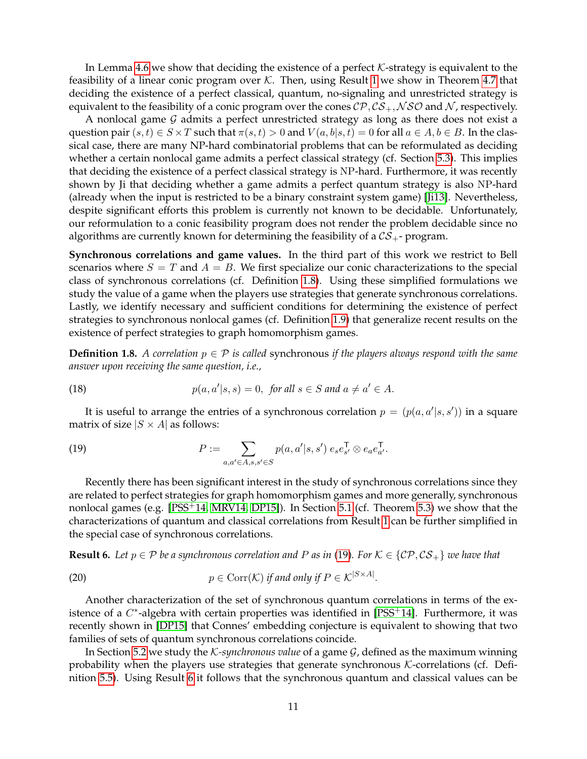In Lemma [4.6](#page-23-1) we show that deciding the existence of a perfect  $K$ -strategy is equivalent to the feasibility of a linear conic program over  $K$ . Then, using Result [1](#page-7-0) we show in Theorem [4.7](#page-24-0) that deciding the existence of a perfect classical, quantum, no-signaling and unrestricted strategy is equivalent to the feasibility of a conic program over the cones  $\mathcal{CP}, \mathcal{CS}_+, \mathcal{NSO}$  and N, respectively.

A nonlocal game  $G$  admits a perfect unrestricted strategy as long as there does not exist a question pair  $(s, t) \in S \times T$  such that  $\pi(s, t) > 0$  and  $V(a, b|s, t) = 0$  for all  $a \in A, b \in B$ . In the classical case, there are many NP-hard combinatorial problems that can be reformulated as deciding whether a certain nonlocal game admits a perfect classical strategy (cf. Section [5.3\)](#page-27-0). This implies that deciding the existence of a perfect classical strategy is NP-hard. Furthermore, it was recently shown by Ji that deciding whether a game admits a perfect quantum strategy is also NP-hard (already when the input is restricted to be a binary constraint system game) [\[Ji13\]](#page-32-10). Nevertheless, despite significant efforts this problem is currently not known to be decidable. Unfortunately, our reformulation to a conic feasibility program does not render the problem decidable since no algorithms are currently known for determining the feasibility of a  $CS_{+}$ - program.

**Synchronous correlations and game values.** In the third part of this work we restrict to Bell scenarios where  $S = T$  and  $A = B$ . We first specialize our conic characterizations to the special class of synchronous correlations (cf. Definition [1.8\)](#page-10-0). Using these simplified formulations we study the value of a game when the players use strategies that generate synchronous correlations. Lastly, we identify necessary and sufficient conditions for determining the existence of perfect strategies to synchronous nonlocal games (cf. Definition [1.9\)](#page-11-0) that generalize recent results on the existence of perfect strategies to graph homomorphism games.

<span id="page-10-0"></span>**Definition 1.8.** *A correlation*  $p \in \mathcal{P}$  *is called* synchronous *if the players always respond with the same answer upon receiving the same question, i.e.,*

(18) 
$$
p(a,a'|s,s) = 0, \text{ for all } s \in S \text{ and } a \neq a' \in A.
$$

It is useful to arrange the entries of a synchronous correlation  $p = (p(a, a'|s, s'))$  in a square matrix of size  $|S \times A|$  as follows:

<span id="page-10-1"></span>(19) 
$$
P := \sum_{a,a' \in A, s,s' \in S} p(a,a'|s,s') e_s e_{s'}^{\mathsf{T}} \otimes e_a e_{a'}^{\mathsf{T}}.
$$

Recently there has been significant interest in the study of synchronous correlations since they are related to perfect strategies for graph homomorphism games and more generally, synchronous nonlocal games (e.g. [\[PSS](#page-33-9)+14, [MRV14,](#page-33-10) [DP15\]](#page-32-13)). In Section [5.1](#page-25-0) (cf. Theorem [5.3\)](#page-26-0) we show that the characterizations of quantum and classical correlations from Result [1](#page-7-0) can be further simplified in the special case of synchronous correlations.

<span id="page-10-2"></span>**Result 6.** *Let*  $p \in \mathcal{P}$  *be a synchronous correlation and P as in* [\(19\)](#page-10-1)*. For*  $\mathcal{K} \in \{C\mathcal{P}, C\mathcal{S}_+\}$  *we have that* 

(20) 
$$
p \in \text{Corr}(\mathcal{K}) \text{ if and only if } P \in \mathcal{K}^{|S \times A|}.
$$

Another characterization of the set of synchronous quantum correlations in terms of the existence of a  $C^*$ -algebra with certain properties was identified in [\[PSS](#page-33-9)<sup>+</sup>14]. Furthermore, it was recently shown in [\[DP15\]](#page-32-13) that Connes' embedding conjecture is equivalent to showing that two families of sets of quantum synchronous correlations coincide.

In Section [5.2](#page-26-1) we study the K*-synchronous value* of a game G, defined as the maximum winning probability when the players use strategies that generate synchronous  $K$ -correlations (cf. Definition [5.5\)](#page-26-2). Using Result [6](#page-10-2) it follows that the synchronous quantum and classical values can be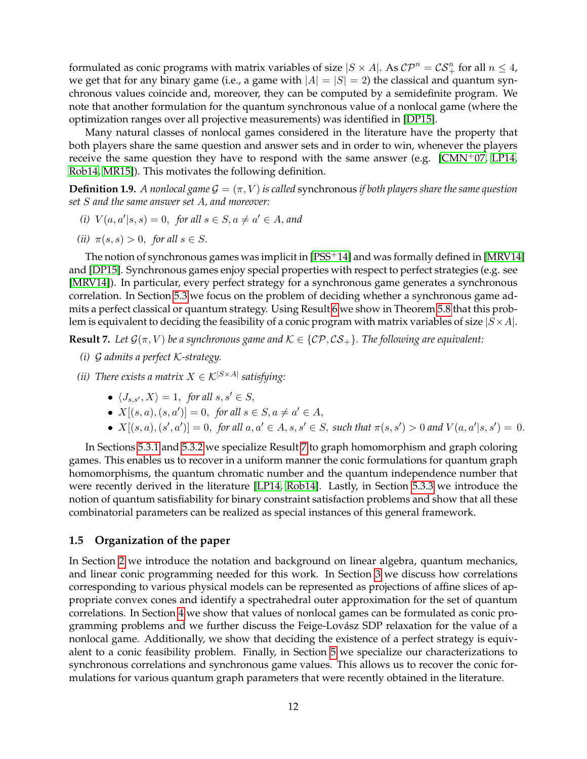formulated as conic programs with matrix variables of size  $|S \times A|$ . As  $\mathcal{CP}^n = \mathcal{CS}^n_+$  for all  $n \leq 4$ , we get that for any binary game (i.e., a game with  $|A| = |S| = 2$ ) the classical and quantum synchronous values coincide and, moreover, they can be computed by a semidefinite program. We note that another formulation for the quantum synchronous value of a nonlocal game (where the optimization ranges over all projective measurements) was identified in [\[DP15\]](#page-32-13).

Many natural classes of nonlocal games considered in the literature have the property that both players share the same question and answer sets and in order to win, whenever the players receive the same question they have to respond with the same answer (e.g.  $\Gamma$ CMN<sup>+</sup>07, [LP14,](#page-33-5) [Rob14,](#page-33-6) [MR15\]](#page-33-11)). This motivates the following definition.

<span id="page-11-0"></span>**Definition 1.9.** *A nonlocal game*  $G = (\pi, V)$  *is called* synchronous *if both players share the same question set* S *and the same answer set* A*, and moreover:*

- *(i)*  $V(a, a'|s, s) = 0$ , *for all*  $s \in S, a \neq a' \in A$ , and
- *(ii)*  $\pi(s, s) > 0$ *, for all*  $s \in S$ *.*

The notion of synchronous games was implicit in [\[PSS](#page-33-9)<sup>+</sup>14] and was formally defined in [\[MRV14\]](#page-33-10) and [\[DP15\]](#page-32-13). Synchronous games enjoy special properties with respect to perfect strategies (e.g. see [\[MRV14\]](#page-33-10)). In particular, every perfect strategy for a synchronous game generates a synchronous correlation. In Section [5.3](#page-27-0) we focus on the problem of deciding whether a synchronous game admits a perfect classical or quantum strategy. Using Result [6](#page-10-2) we show in Theorem [5.8](#page-27-1) that this problem is equivalent to deciding the feasibility of a conic program with matrix variables of size  $|S \times A|$ .

<span id="page-11-1"></span>**Result 7.** Let  $\mathcal{G}(\pi, V)$  be a synchronous game and  $\mathcal{K} \in \{C\mathcal{P}, C\mathcal{S}_+\}$ . The following are equivalent:

- *(i)* G *admits a perfect* K*-strategy.*
- *(ii) There exists a matrix*  $X \in \mathcal{K}^{|S \times A|}$  *satisfying:* 
	- $\langle J_{s,s'}, X \rangle = 1$ , *for all*  $s, s' \in S$ ,
	- $X[(s, a), (s, a')] = 0$ , for all  $s \in S$ ,  $a \neq a' \in A$ ,
	- $X[(s, a), (s', a')] = 0$ , for all  $a, a' \in A$ ,  $s, s' \in S$ , such that  $\pi(s, s') > 0$  and  $V(a, a'|s, s') = 0$ .

In Sections [5.3.1](#page-28-0) and [5.3.2](#page-29-0) we specialize Result [7](#page-11-1) to graph homomorphism and graph coloring games. This enables us to recover in a uniform manner the conic formulations for quantum graph homomorphisms, the quantum chromatic number and the quantum independence number that were recently derived in the literature [\[LP14,](#page-33-5) [Rob14\]](#page-33-6). Lastly, in Section [5.3.3](#page-30-0) we introduce the notion of quantum satisfiability for binary constraint satisfaction problems and show that all these combinatorial parameters can be realized as special instances of this general framework.

### **1.5 Organization of the paper**

In Section [2](#page-12-1) we introduce the notation and background on linear algebra, quantum mechanics, and linear conic programming needed for this work. In Section [3](#page-14-0) we discuss how correlations corresponding to various physical models can be represented as projections of affine slices of appropriate convex cones and identify a spectrahedral outer approximation for the set of quantum correlations. In Section [4](#page-20-0) we show that values of nonlocal games can be formulated as conic programming problems and we further discuss the Feige-Lovász SDP relaxation for the value of a nonlocal game. Additionally, we show that deciding the existence of a perfect strategy is equivalent to a conic feasibility problem. Finally, in Section [5](#page-24-1) we specialize our characterizations to synchronous correlations and synchronous game values. This allows us to recover the conic formulations for various quantum graph parameters that were recently obtained in the literature.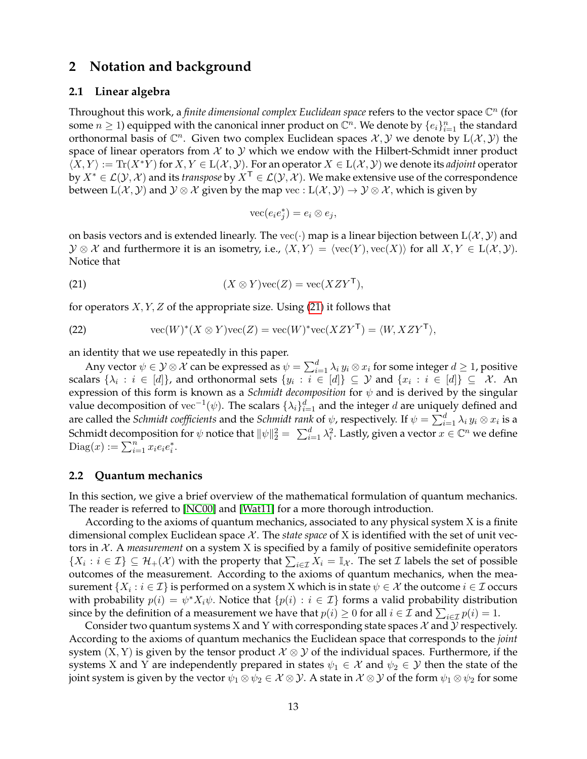# <span id="page-12-1"></span>**2 Notation and background**

### **2.1 Linear algebra**

Throughout this work, a *finite dimensional complex Euclidean space* refers to the vector space  $\mathbb{C}^n$  (for some  $n \geq 1$ ) equipped with the canonical inner product on  $\mathbb{C}^n$ . We denote by  $\{e_i\}_{i=1}^n$  the standard orthonormal basis of  $\mathbb{C}^n$ . Given two complex Euclidean spaces  $\mathcal{X}, \mathcal{Y}$  we denote by  $L(\mathcal{X}, \mathcal{Y})$  the space of linear operators from  $\mathcal X$  to  $\mathcal Y$  which we endow with the Hilbert-Schmidt inner product  $\langle X, Y \rangle := \text{Tr}(X^*Y)$  for  $X, Y \in L(\mathcal{X}, \mathcal{Y})$ . For an operator  $X \in L(\mathcal{X}, \mathcal{Y})$  we denote its *adjoint* operator by  $X^* \in \mathcal{L}(\mathcal{Y}, \mathcal{X})$  and its *transpose* by  $X^{\mathsf{T}} \in \mathcal{L}(\mathcal{Y}, \mathcal{X})$ . We make extensive use of the correspondence between  $L(\mathcal{X}, \mathcal{Y})$  and  $\mathcal{Y} \otimes \mathcal{X}$  given by the map vec :  $L(\mathcal{X}, \mathcal{Y}) \to \mathcal{Y} \otimes \mathcal{X}$ , which is given by

<span id="page-12-2"></span>
$$
\text{vec}(e_i e_j^*) = e_i \otimes e_j,
$$

on basis vectors and is extended linearly. The vec( $\cdot$ ) map is a linear bijection between  $L(\mathcal{X}, \mathcal{Y})$  and  $\mathcal{Y} \otimes \mathcal{X}$  and furthermore it is an isometry, i.e.,  $\langle X, Y \rangle = \langle \text{vec}(Y) , \text{vec}(X) \rangle$  for all  $X, Y \in L(\mathcal{X}, \mathcal{Y})$ . Notice that

(21) 
$$
(X \otimes Y) \text{vec}(Z) = \text{vec}(X Z Y^{\mathsf{T}}),
$$

for operators  $X, Y, Z$  of the appropriate size. Using [\(21\)](#page-12-2) it follows that

<span id="page-12-3"></span>(22) 
$$
\operatorname{vec}(W)^*(X \otimes Y)\operatorname{vec}(Z) = \operatorname{vec}(W)^*\operatorname{vec}(XZY^{\mathsf{T}}) = \langle W, XZY^{\mathsf{T}} \rangle,
$$

an identity that we use repeatedly in this paper.

Any vector  $\psi\in\mathcal{Y}\otimes\mathcal{X}$  can be expressed as  $\psi=\sum_{i=1}^d\lambda_i\,y_i\otimes x_i$  for some integer  $d\geq 1$ , positive scalars  $\{\lambda_i\,:\,i\,\in\,[d]\}$ , and orthonormal sets  $\{y_i\,:\,i\,\in\,[d]\}\,\subseteq\,$   ${\cal Y}$  and  $\{x_i\,:\,i\,\in\,[d]\}\,\subseteq\,$   ${\cal X}.$  An expression of this form is known as a *Schmidt decomposition* for  $\psi$  and is derived by the singular value decomposition of vec<sup>-1</sup>( $\psi$ ). The scalars  $\{\lambda_i\}_{i=1}^d$  and the integer  $d$  are uniquely defined and are called the *Schmidt coefficients* and the *Schmidt rank* of  $\psi$ , respectively. If  $\psi = \sum_{i=1}^d \lambda_i\,y_i\otimes x_i$  is a Schmidt decomposition for  $\psi$  notice that  $\|\psi\|_2^2 = |\sum_{i=1}^d \lambda_i^2.$  Lastly, given a vector  $x\in\mathbb C^n$  we define  $\text{Diag}(x) := \sum_{i=1}^{n} x_i e_i e_i^*.$ 

### <span id="page-12-0"></span>**2.2 Quantum mechanics**

In this section, we give a brief overview of the mathematical formulation of quantum mechanics. The reader is referred to [\[NC00\]](#page-33-12) and [\[Wat11\]](#page-33-13) for a more thorough introduction.

According to the axioms of quantum mechanics, associated to any physical system X is a finite dimensional complex Euclidean space  $\mathcal X$ . The *state space* of X is identified with the set of unit vectors in X . A *measurement* on a system X is specified by a family of positive semidefinite operators  $\{X_i : i \in \mathcal{I}\} \subseteq \mathcal{H}_+(\mathcal{X})$  with the property that  $\sum_{i \in \mathcal{I}} X_i = \mathbb{I}_{\mathcal{X}}$ . The set  $\mathcal{I}$  labels the set of possible outcomes of the measurement. According to the axioms of quantum mechanics, when the measurement  $\{X_i : i \in \mathcal{I}\}$  is performed on a system  $\mathrm X$  which is in state  $\psi \in \mathcal{X}$  the outcome  $i \in \mathcal{I}$  occurs with probability  $p(i) = \psi^* X_i \psi$ . Notice that  $\{p(i) : i \in \mathcal{I}\}$  forms a valid probability distribution since by the definition of a measurement we have that  $p(i) \geq 0$  for all  $i \in \mathcal{I}$  and  $\sum_{i \in \mathcal{I}} p(i) = 1$ .

Consider two quantum systems X and Y with corresponding state spaces  $\mathcal X$  and  $\mathcal Y$  respectively. According to the axioms of quantum mechanics the Euclidean space that corresponds to the *joint* system  $(X, Y)$  is given by the tensor product  $\mathcal{X} \otimes \mathcal{Y}$  of the individual spaces. Furthermore, if the systems X and Y are independently prepared in states  $\psi_1 \in \mathcal{X}$  and  $\psi_2 \in \mathcal{Y}$  then the state of the joint system is given by the vector  $\psi_1 \otimes \psi_2 \in \mathcal{X} \otimes \mathcal{Y}$ . A state in  $\mathcal{X} \otimes \mathcal{Y}$  of the form  $\psi_1 \otimes \psi_2$  for some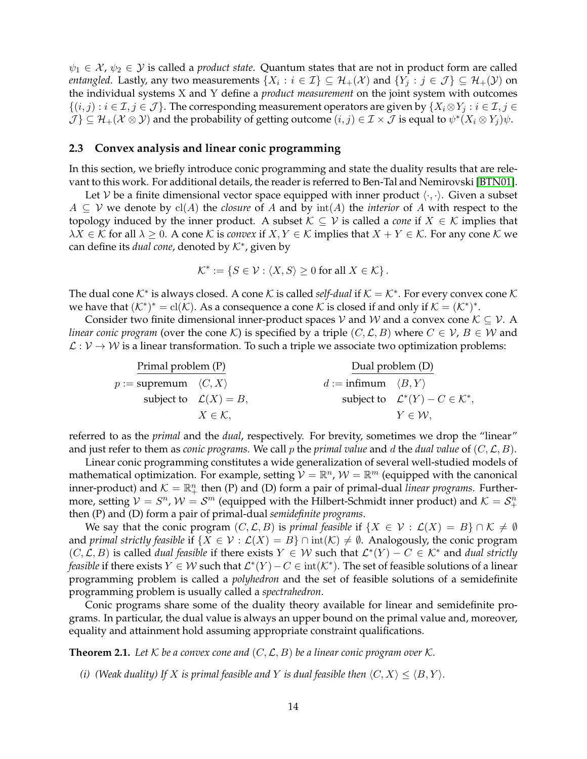$\psi_1 \in \mathcal{X}, \psi_2 \in \mathcal{Y}$  is called a *product state*. Quantum states that are not in product form are called *entangled*. Lastly, any two measurements  $\{X_i : i \in \mathcal{I}\} \subseteq \mathcal{H}_+(\mathcal{X})$  and  $\{Y_j : j \in \mathcal{J}\} \subseteq \mathcal{H}_+(\mathcal{Y})$  on the individual systems X and Y define a *product measurement* on the joint system with outcomes  $\{(i,j): i \in \mathcal{I}, j \in \mathcal{J}\}\.$  The corresponding measurement operators are given by  $\{X_i \otimes Y_j : i \in \mathcal{I}, j \in \mathcal{J}\}\.$  $\mathcal{J} \} \subseteq \mathcal{H}_+(\mathcal{X} \otimes \mathcal{Y})$  and the probability of getting outcome  $(i, j) \in \mathcal{I} \times \mathcal{J}$  is equal to  $\psi^*(X_i \otimes Y_j)\psi$ .

#### <span id="page-13-0"></span>**2.3 Convex analysis and linear conic programming**

In this section, we briefly introduce conic programming and state the duality results that are relevant to this work. For additional details, the reader is referred to Ben-Tal and Nemirovski [\[BTN01\]](#page-31-4).

Let V be a finite dimensional vector space equipped with inner product  $\langle \cdot, \cdot \rangle$ . Given a subset  $A ⊆ V$  we denote by  $cl(A)$  the *closure* of A and by  $int(A)$  the *interior* of A with respect to the topology induced by the inner product. A subset  $K \subseteq V$  is called a *cone* if  $X \in K$  implies that  $\lambda X \in \mathcal{K}$  for all  $\lambda \geq 0$ . A cone K is *convex* if  $X, Y \in \mathcal{K}$  implies that  $X + Y \in \mathcal{K}$ . For any cone K we can define its *dual cone*, denoted by K<sup>∗</sup> , given by

$$
\mathcal{K}^* := \{ S \in \mathcal{V} : \langle X, S \rangle \ge 0 \text{ for all } X \in \mathcal{K} \}.
$$

The dual cone  $K^*$  is always closed. A cone  $K$  is called *self-dual* if  $K = K^*$ . For every convex cone  $K$ we have that  $(K^*)^* = \text{cl}(\mathcal{K})$ . As a consequence a cone  $\mathcal K$  is closed if and only if  $\mathcal K = (K^*)^*$ .

Consider two finite dimensional inner-product spaces  $V$  and  $W$  and a convex cone  $K \subseteq V$ . A *linear conic program* (over the cone K) is specified by a triple  $(C, \mathcal{L}, B)$  where  $C \in \mathcal{V}, B \in \mathcal{W}$  and  $\mathcal{L}: \mathcal{V} \to \mathcal{W}$  is a linear transformation. To such a triple we associate two optimization problems:

| Primal problem (P)                     |                                   |                                            | Dual problem (D)                                      |  |
|----------------------------------------|-----------------------------------|--------------------------------------------|-------------------------------------------------------|--|
| $p :=$ supremum $\langle C, X \rangle$ |                                   | $d := \text{infimum} \langle B, Y \rangle$ |                                                       |  |
|                                        | subject to $\mathcal{L}(X) = B$ , |                                            | subject to $\mathcal{L}^*(Y) - C \in \mathcal{K}^*$ , |  |
|                                        | $X \in \mathcal{K}$ ,             |                                            | $Y \in \mathcal{W}$ ,                                 |  |

referred to as the *primal* and the *dual*, respectively. For brevity, sometimes we drop the "linear" and just refer to them as *conic programs*. We call p the *primal value* and d the *dual value* of  $(C, \mathcal{L}, B)$ .

Linear conic programming constitutes a wide generalization of several well-studied models of mathematical optimization. For example, setting  $V = \mathbb{R}^n$ ,  $W = \mathbb{R}^m$  (equipped with the canonical inner-product) and  $K = \mathbb{R}^n_+$  then (P) and (D) form a pair of primal-dual *linear programs*. Furthermore, setting  $\mathcal{V} = S^n$ ,  $\mathcal{W} = \mathcal{S}^m$  (equipped with the Hilbert-Schmidt inner product) and  $\mathcal{K} = \mathcal{S}^n_+$ then (P) and (D) form a pair of primal-dual *semidefinite programs*.

We say that the conic program  $(C, \mathcal{L}, B)$  is *primal feasible* if  $\{X \in \mathcal{V} : \mathcal{L}(X) = B\} \cap \mathcal{K} \neq \emptyset$ and *primal strictly feasible* if  $\{X \in \mathcal{V} : \mathcal{L}(X) = B\} \cap \text{int}(\mathcal{K}) \neq \emptyset$ . Analogously, the conic program  $(C, \mathcal{L}, B)$  is called *dual feasible* if there exists  $Y \in \mathcal{W}$  such that  $\mathcal{L}^*(Y) - C \in \mathcal{K}^*$  and *dual strictly feasible* if there exists  $Y \in W$  such that  $\mathcal{L}^*(Y) - C \in int(\mathcal{K}^*)$ . The set of feasible solutions of a linear programming problem is called a *polyhedron* and the set of feasible solutions of a semidefinite programming problem is usually called a *spectrahedron*.

Conic programs share some of the duality theory available for linear and semidefinite programs. In particular, the dual value is always an upper bound on the primal value and, moreover, equality and attainment hold assuming appropriate constraint qualifications.

<span id="page-13-1"></span>**Theorem 2.1.** Let  $K$  be a convex cone and  $(C, \mathcal{L}, B)$  be a linear conic program over  $K$ .

*(i) (Weak duality)* If X *is primal feasible and* Y *is dual feasible then*  $\langle C, X \rangle \leq \langle B, Y \rangle$ *.*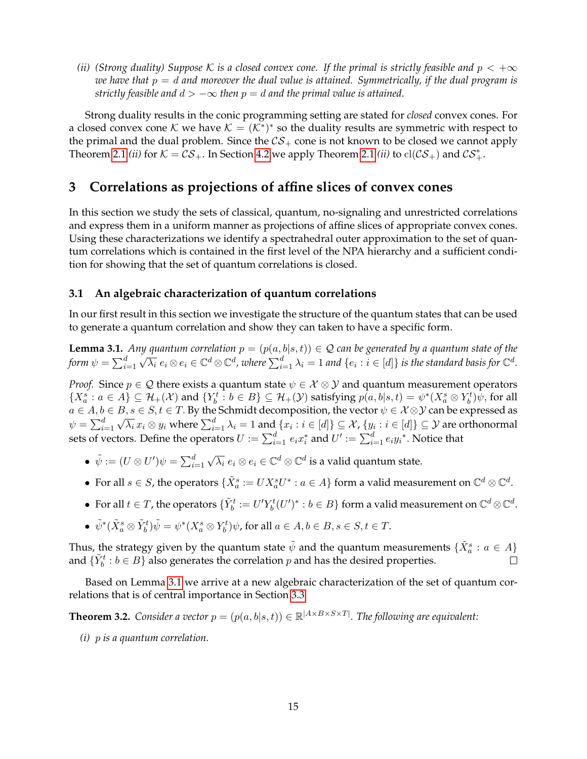*(ii) (Strong duality)* Suppose K is a closed convex cone. If the primal is strictly feasible and  $p < +\infty$ *we have that* p = d *and moreover the dual value is attained. Symmetrically, if the dual program is strictly feasible and*  $d > -\infty$  *then*  $p = d$  *and the primal value is attained.* 

Strong duality results in the conic programming setting are stated for *closed* convex cones. For a closed convex cone K we have  $K = (K^*)^*$  so the duality results are symmetric with respect to the primal and the dual problem. Since the  $CS_+$  cone is not known to be closed we cannot apply Theorem [2.1](#page-13-1) *(ii)* for  $K = \mathcal{CS}_+$ . In Section [4.2](#page-21-1) we apply Theorem 2.1 *(ii)* to  $\text{cl}(\mathcal{CS}_+)$  and  $\mathcal{CS}_+^*$ .

# <span id="page-14-0"></span>**3 Correlations as projections of affine slices of convex cones**

In this section we study the sets of classical, quantum, no-signaling and unrestricted correlations and express them in a uniform manner as projections of affine slices of appropriate convex cones. Using these characterizations we identify a spectrahedral outer approximation to the set of quantum correlations which is contained in the first level of the NPA hierarchy and a sufficient condition for showing that the set of quantum correlations is closed.

### **3.1 An algebraic characterization of quantum correlations**

In our first result in this section we investigate the structure of the quantum states that can be used to generate a quantum correlation and show they can taken to have a specific form.

<span id="page-14-1"></span>**Lemma 3.1.** *Any quantum correlation*  $p = (p(a, b|s, t)) \in \mathcal{Q}$  *can be generated by a quantum state of the* form  $\psi = \sum_{i=1}^d$  $\sqrt{\lambda_i}$   $e_i \otimes e_i \in \mathbb{C}^d \otimes \mathbb{C}^d$ , where  $\sum_{i=1}^d \lambda_i = 1$  and  $\{e_i : i \in [d]\}$  is the standard basis for  $\mathbb{C}^d$ .

*Proof.* Since  $p \in \mathcal{Q}$  there exists a quantum state  $\psi \in \mathcal{X} \otimes \mathcal{Y}$  and quantum measurement operators  $\{X_a^s : a \in A\} \subseteq \mathcal{H}_+(\mathcal{X})$  and  $\{Y_b^t : b \in B\} \subseteq \mathcal{H}_+(\mathcal{Y})$  satisfying  $p(a, b|s, t) = \psi^*(X_a^s \otimes Y_b^t)\psi$ , for all  $a \in A, b \in B, s \in S, t \in T$ . By the Schmidt decomposition, the vector  $\psi \in \mathcal{X} \otimes \mathcal{Y}$  can be expressed as  $\psi=\sum_{i=1}^d\sqrt{\lambda_i}\,x_i\otimes y_i$  where  $\sum_{i=1}^d\lambda_i=1$  and  $\{x_i:i\in[d]\}\subseteq\mathcal{X}$ ,  $\{y_i:i\in[d]\}\subseteq\mathcal{Y}$  are orthonormal sets of vectors. Define the operators  $U:=\sum_{i=1}^d e_ix_i^*$  and  $U':=\sum_{i=1}^d e_iy_i^*.$  Notice that

- $\bullet\,\ \tilde{\psi}:=(U\otimes U')\psi=\sum_{i=1}^d$  $\sqrt{\lambda_i}\ e_i\otimes e_i\in\mathbb{C}^d\otimes\mathbb{C}^d$  is a valid quantum state.
- For all  $s \in S$ , the operators  $\{\tilde{X}^s_a := UX^s_aU^*: a \in A\}$  form a valid measurement on  $\mathbb{C}^d \otimes \mathbb{C}^d$ .
- For all  $t \in T$ , the operators  $\{\tilde{Y}^t_b := U' Y^t_b (U')^* : b \in B\}$  form a valid measurement on  $\mathbb{C}^d \otimes \mathbb{C}^d$ .
- $\tilde{\psi}^*(\tilde{X}^s_a \otimes \tilde{Y}^t_b)\tilde{\psi} = \psi^*(X^s_a \otimes Y^t_b)\psi$ , for all  $a \in A, b \in B, s \in S, t \in T$ .

Thus, the strategy given by the quantum state  $\tilde{\psi}$  and the quantum measurements  $\{\tilde{X}^s_a: a\in A\}$ and  $\{\tilde{Y}_b^t : b \in B\}$  also generates the correlation p and has the desired properties.

Based on Lemma [3.1](#page-14-1) we arrive at a new algebraic characterization of the set of quantum correlations that is of central importance in Section [3.3.](#page-16-1)

<span id="page-14-2"></span>**Theorem 3.2.** Consider a vector  $p = (p(a, b|s, t)) \in \mathbb{R}^{|A \times B \times S \times T|}$ . The following are equivalent:

*(i)* p *is a quantum correlation.*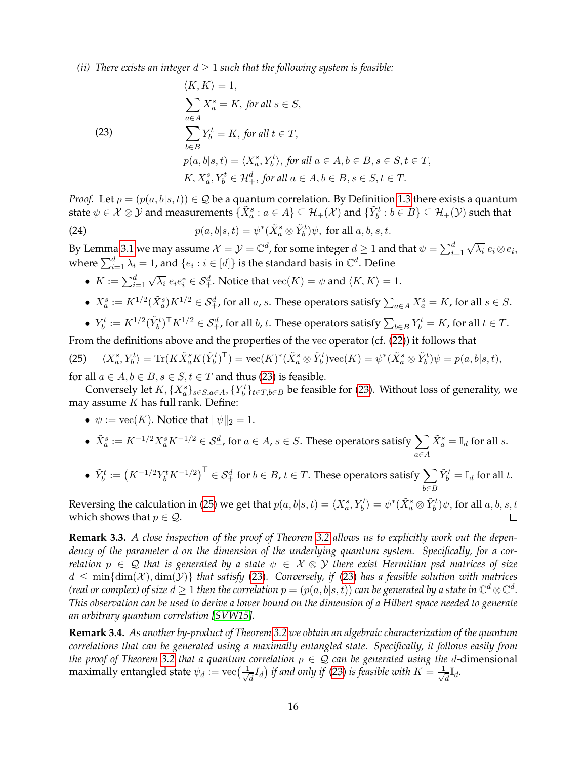*(ii) There exists an integer*  $d \geq 1$  *such that the following system is feasible:* 

<span id="page-15-0"></span>(23)  
\n
$$
\langle K, K \rangle = 1,
$$
\n
$$
\sum_{a \in A} X_a^s = K, \text{ for all } s \in S,
$$
\n(23)  
\n
$$
\sum_{b \in B} Y_b^t = K, \text{ for all } t \in T,
$$
\n
$$
p(a, b|s, t) = \langle X_a^s, Y_b^t \rangle, \text{ for all } a \in A, b \in B, s \in S, t \in T,
$$
\n
$$
K, X_a^s, Y_b^t \in \mathcal{H}_+^d, \text{ for all } a \in A, b \in B, s \in S, t \in T.
$$

*Proof.* Let  $p = (p(a, b|s, t)) \in \mathcal{Q}$  be a quantum correlation. By Definition [1.3](#page-3-2) there exists a quantum state  $\psi\in\mathcal{X}\otimes\mathcal{Y}$  and measurements  $\{\tilde{X}^s_a:a\in A\}\subseteq\mathcal{H}_+(\mathcal{X})$  and  $\{\tilde{Y}^t_b:b\in B\}\subseteq\mathcal{H}_+(\mathcal{Y})$  such that

(24)  $p(a, b|s, t) = \psi^*(\tilde{X}_a^s \otimes \tilde{Y}_b^t)\psi$ , for all  $a, b, s, t$ .

By Lemma [3.1](#page-14-1) we may assume  $\mathcal{X}=\mathcal{Y}=\mathbb{C}^d$ , for some integer  $d\geq 1$  and that  $\psi=\sum_{i=1}^d$ √  $\overline{\lambda_i}\ e_i\mathop{\otimes} e_i,$ where  $\sum_{i=1}^d \lambda_i = 1$ , and  $\{e_i : i \in [d]\}$  is the standard basis in  $\mathbb{C}^d$ . Define

- $\bullet\ \ K:=\sum_{i=1}^d$ √  $\overline{\lambda_i}$   $e_i e_i^* \in \mathcal{S}_+^d$ . Notice that  $\text{vec}(K) = \psi$  and  $\langle K, K \rangle = 1$ .
- $X_a^s := K^{1/2}(\tilde{X}_a^s) K^{1/2} \in \mathcal{S}_{+}^d$ , for all  $a, s$ . These operators satisfy  $\sum_{a \in A} X_a^s = K$ , for all  $s \in S$ .
- $Y_b^t := K^{1/2} (\tilde{Y}_b^t)^{\mathsf{T}} K^{1/2} \in \mathcal{S}_{+}^d$ , for all  $b, t$ . These operators satisfy  $\sum_{b \in B} Y_b^t = K$ , for all  $t \in T$ .

From the definitions above and the properties of the vec operator (cf. [\(22\)](#page-12-3)) it follows that

<span id="page-15-1"></span>(25) 
$$
\langle X_a^s, Y_b^t \rangle = \text{Tr}(K\tilde{X}_a^s K(\tilde{Y}_b^t)^{\mathsf{T}}) = \text{vec}(K)^*(\tilde{X}_a^s \otimes \tilde{Y}_b^t) \text{vec}(K) = \psi^*(\tilde{X}_a^s \otimes \tilde{Y}_b^t) \psi = p(a, b|s, t),
$$

for all  $a \in A$ ,  $b \in B$ ,  $s \in S$ ,  $t \in T$  and thus [\(23\)](#page-15-0) is feasible.

Conversely let  $K, \{X_a^s\}_{s\in S, a\in A}, \{Y_b^t\}_{t\in T, b\in B}$  be feasible for [\(23\)](#page-15-0). Without loss of generality, we may assume  $K$  has full rank. Define:

•  $\psi := \text{vec}(K)$ . Notice that  $\|\psi\|_2 = 1$ .

• 
$$
\tilde{X}_a^s := K^{-1/2} X_a^s K^{-1/2} \in \mathcal{S}_+^d
$$
, for  $a \in A$ ,  $s \in S$ . These operators satisfy  $\sum_{a \in A} \tilde{X}_a^s = \mathbb{I}_d$  for all  $s$ .

• 
$$
\tilde{Y}_b^t := (K^{-1/2} Y_b^t K^{-1/2})^\top \in \mathcal{S}_+^d
$$
 for  $b \in B, t \in T$ . These operators satisfy  $\sum_{b \in B} \tilde{Y}_b^t = \mathbb{I}_d$  for all  $t$ .

Reversing the calculation in [\(25\)](#page-15-1) we get that  $p(a,b|s,t)=\langle X^s_a, Y^t_b\rangle=\psi^*(\tilde{X}^s_a\otimes \tilde{Y}^t_b)\psi,$  for all  $a,b,s,t$ which shows that  $p \in \mathcal{Q}$ . П

**Remark 3.3.** *A close inspection of the proof of Theorem [3.2](#page-14-2) allows us to explicitly work out the dependency of the parameter* d *on the dimension of the underlying quantum system. Specifically, for a correlation*  $p \in \mathcal{Q}$  *that is generated by a state*  $\psi \in \mathcal{X} \otimes \mathcal{Y}$  *there exist Hermitian psd matrices of size*  $d \leq \min\{\dim(\mathcal{X}), \dim(\mathcal{Y})\}\$  *that satisfy* [\(23\)](#page-15-0). Conversely, if (23) has a feasible solution with matrices *(real or complex) of size*  $d\geq 1$  *then the correlation*  $p=(p(a,b|s,t))$  *can be generated by a state in*  $\mathbb{C}^d\otimes\mathbb{C}^d$ *. This observation can be used to derive a lower bound on the dimension of a Hilbert space needed to generate an arbitrary quantum correlation [\[SVW15\]](#page-33-14).*

**Remark 3.4.** *As another by-product of Theorem [3.2](#page-14-2) we obtain an algebraic characterization of the quantum correlations that can be generated using a maximally entangled state. Specifically, it follows easily from the proof of Theorem* [3.2](#page-14-2) *that a quantum correlation*  $p \in \mathcal{Q}$  *can be generated using the d*-dimensional maximally entangled state  $\psi_d := \text{vec}(\frac{1}{\sqrt{2}})$  $\overline{d}_{\overline{d}}I_d)$  if and only if [\(23\)](#page-15-0) is feasible with  $K=\frac{1}{\sqrt{d}}$  $\overline{\overline{d}}^{\overline{\mathbb{I}}d}$ .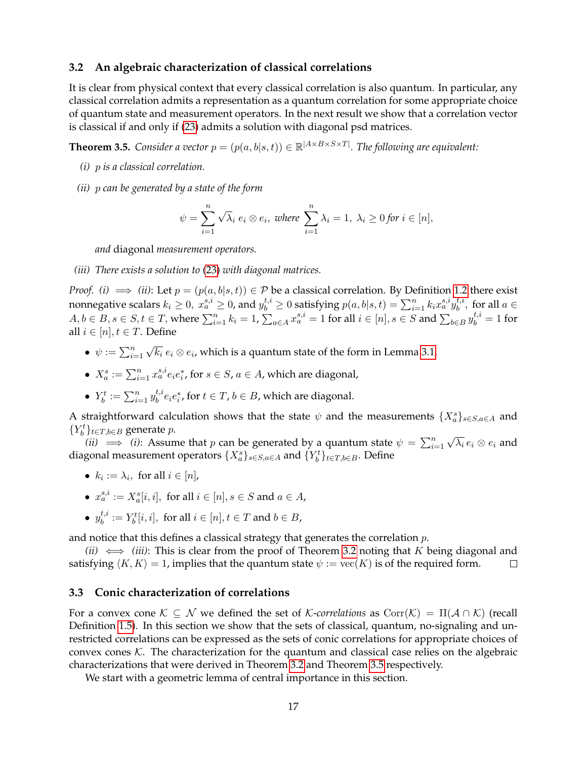# **3.2 An algebraic characterization of classical correlations**

It is clear from physical context that every classical correlation is also quantum. In particular, any classical correlation admits a representation as a quantum correlation for some appropriate choice of quantum state and measurement operators. In the next result we show that a correlation vector is classical if and only if [\(23\)](#page-15-0) admits a solution with diagonal psd matrices.

<span id="page-16-0"></span>**Theorem 3.5.** Consider a vector  $p = (p(a, b|s, t)) \in \mathbb{R}^{|A \times B \times S \times T|}$ . The following are equivalent:

- *(i)* p *is a classical correlation.*
- *(ii)* p *can be generated by a state of the form*

$$
\psi = \sum_{i=1}^{n} \sqrt{\lambda_i} e_i \otimes e_i, \text{ where } \sum_{i=1}^{n} \lambda_i = 1, \lambda_i \ge 0 \text{ for } i \in [n],
$$

*and* diagonal *measurement operators.*

#### *(iii) There exists a solution to* [\(23\)](#page-15-0) *with diagonal matrices.*

*Proof.* (*i*)  $\implies$  (*ii*): Let  $p = (p(a, b|s, t)) \in \mathcal{P}$  be a classical correlation. By Definition [1.2](#page-2-0) there exist nonnegative scalars  $k_i\geq 0,~x_a^{s,i}\geq 0$ , and  $y_b^{t,i}\geq 0$  satisfying  $p(a,b|s,t)=\sum_{i=1}^nk_ix_a^{s,i}y_b^{t,i}$  $b^{t,i}$ , for all  $a \in$  $A, b \in B, s \in S, t \in T$ , where  $\sum_{i=1}^n k_i = 1$ ,  $\sum_{a \in A} x_a^{s,i} = 1$  for all  $i \in [n], s \in S$  and  $\sum_{b \in B} y_b^{t,i} = 1$  for all  $i \in [n], t \in T$ . Define

- $\psi := \sum_{i=1}^n$ √  $\overline{k_i}$   $e_i$   $\otimes$   $e_i$ , which is a quantum state of the form in Lemma [3.1,](#page-14-1)
- $X_a^s := \sum_{i=1}^n x_a^{s,i} e_i e_i^*$ , for  $s \in S$ ,  $a \in A$ , which are diagonal,
- $\bullet\ Y_b^t:=\sum_{i=1}^ny_b^{t,i}$  $e^{t,i}_b e_i e^*_i$ , for  $t \in T$ ,  $b \in B$ , which are diagonal.

A straightforward calculation shows that the state  $\psi$  and the measurements  $\{X_a^s\}_{s\in S, a\in A}$  and { $Y_b^t$ }<sub>*t*∈T,*b*∈B generate *p*.</sub> √

*(ii)*  $\implies$  *(i)*: Assume that *p* can be generated by a quantum state  $\psi = \sum_{i=1}^{n}$  $\overline{\lambda_i}$   $e_i\otimes e_i$  and diagonal measurement operators  $\{X_a^s\}_{s\in S, a\in A}$  and  $\{Y_b^t\}_{t\in T, b\in B}$ . Define

- $k_i := \lambda_i$ , for all  $i \in [n]$ ,
- $x_a^{s,i} := X_a^s[i, i]$ , for all  $i \in [n]$ ,  $s \in S$  and  $a \in A$ ,
- $\bullet$   $y_h^{t,i}$  $b^{t,i}_b := Y^t_b[i,i], \text{ for all } i \in [n], t \in T \text{ and } b \in B,$

and notice that this defines a classical strategy that generates the correlation  $p$ .

*(ii)*  $\iff$  *(iii)*: This is clear from the proof of Theorem [3.2](#page-14-2) noting that K being diagonal and satisfying  $\langle K, K \rangle = 1$ , implies that the quantum state  $\psi := \text{vec}(K)$  is of the required form.  $\Box$ 

# <span id="page-16-1"></span>**3.3 Conic characterization of correlations**

For a convex cone  $K \subseteq \mathcal{N}$  we defined the set of K-correlations as  $Corr(K) = \Pi(\mathcal{A} \cap \mathcal{K})$  (recall Definition [1.5\)](#page-7-1). In this section we show that the sets of classical, quantum, no-signaling and unrestricted correlations can be expressed as the sets of conic correlations for appropriate choices of convex cones  $K$ . The characterization for the quantum and classical case relies on the algebraic characterizations that were derived in Theorem [3.2](#page-14-2) and Theorem [3.5](#page-16-0) respectively.

We start with a geometric lemma of central importance in this section.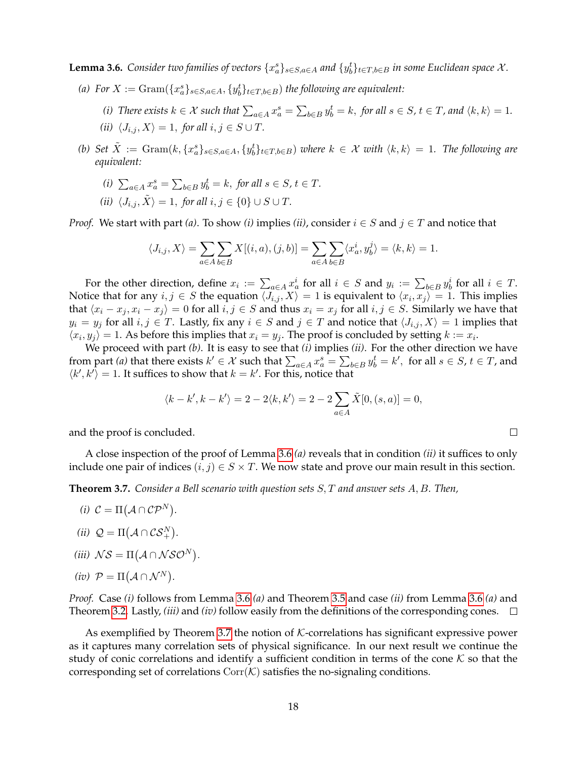<span id="page-17-1"></span>**Lemma 3.6.** Consider two families of vectors  $\{x_a^s\}_{s\in S, a\in A}$  and  $\{y_b^t\}_{t\in T, b\in B}$  in some Euclidean space  $\mathcal X$ .

- (a) For  $X := \text{Gram}(\{x_a^s\}_{s \in S, a \in A}, \{y_b^t\}_{t \in T, b \in B})$  the following are equivalent:
	- (*i*) There exists  $k \in \mathcal{X}$  such that  $\sum_{a \in A} x_a^s = \sum_{b \in B} y_b^t = k$ , for all  $s \in S$ ,  $t \in T$ , and  $\langle k, k \rangle = 1$ .
	- *(ii)*  $\langle J_{i,j}, X \rangle = 1$ , *for all*  $i, j \in S \cup T$ .
- (b) Set  $\tilde{X} := \text{Gram}(k, \{x_a^s\}_{s \in S, a \in A}, \{y_b^t\}_{t \in T, b \in B})$  where  $k \in \mathcal{X}$  with  $\langle k, k \rangle = 1$ . The following are *equivalent:*
	- (*i*)  $\sum_{a \in A} x_a^s = \sum_{b \in B} y_b^t = k$ , for all  $s \in S$ ,  $t \in T$ .
	- *(ii)*  $\langle J_{i,j}, \tilde{X} \rangle = 1$ , *for all*  $i, j \in \{0\} \cup S \cup T$ *.*

*Proof.* We start with part *(a)*. To show *(i)* implies *(ii)*, consider  $i \in S$  and  $j \in T$  and notice that

$$
\langle J_{i,j}, X \rangle = \sum_{a \in A} \sum_{b \in B} X[(i, a), (j, b)] = \sum_{a \in A} \sum_{b \in B} \langle x_a^i, y_b^j \rangle = \langle k, k \rangle = 1.
$$

For the other direction, define  $x_i := \sum_{a \in A} x_a^i$  for all  $i \in S$  and  $y_i := \sum_{b \in B} y_b^i$  for all  $i \in T$ . Notice that for any  $i, j \in S$  the equation  $\langle J_{i,j}, X \rangle = 1$  is equivalent to  $\langle x_i, x_j \rangle = 1$ . This implies that  $\langle x_i - x_j, x_i - x_j \rangle = 0$  for all  $i, j \in S$  and thus  $x_i = x_j$  for all  $i, j \in S$ . Similarly we have that  $y_i = y_j$  for all  $i, j \in T$ . Lastly, fix any  $i \in S$  and  $j \in T$  and notice that  $\langle J_{i,j}, X \rangle = 1$  implies that  $\langle x_i, y_j \rangle = 1$ . As before this implies that  $x_i = y_j$ . The proof is concluded by setting  $k := x_i$ .

We proceed with part *(b)*. It is easy to see that *(i)* implies *(ii)*. For the other direction we have from part *(a)* that there exists  $k' \in \mathcal{X}$  such that  $\sum_{a \in A} x_a^s = \sum_{b \in B} y_b^t = k'$ , for all  $s \in S$ ,  $t \in T$ , and  $\langle k', k' \rangle = 1$ . It suffices to show that  $k = k'$ . For this, notice that

$$
\langle k - k', k - k' \rangle = 2 - 2\langle k, k' \rangle = 2 - 2\sum_{a \in A} \tilde{X}[0, (s, a)] = 0,
$$

 $\Box$ 

and the proof is concluded.

A close inspection of the proof of Lemma [3.6](#page-17-1) *(a)* reveals that in condition *(ii)* it suffices to only include one pair of indices  $(i, j) \in S \times T$ . We now state and prove our main result in this section.

<span id="page-17-0"></span>**Theorem 3.7.** *Consider a Bell scenario with question sets* S, T *and answer sets* A, B*. Then,*

- *(i)*  $C = \Pi(A \cap CP^N)$ .
- (*ii*)  $Q = \Pi (A \cap \mathcal{CS}_{+}^{N}).$
- (*iii*)  $\mathcal{NS} = \Pi(\mathcal{A} \cap \mathcal{NSO}^N)$ .

$$
(iv) \ \mathcal{P} = \Pi(\mathcal{A} \cap \mathcal{N}^N).
$$

*Proof.* Case *(i)* follows from Lemma [3.6](#page-17-1) *(a)* and Theorem [3.5](#page-16-0) and case *(ii)* from Lemma [3.6](#page-17-1) *(a)* and Theorem [3.2.](#page-14-2) Lastly, *(iii)* and *(iv)* follow easily from the definitions of the corresponding cones.

As exemplified by Theorem [3.7](#page-17-0) the notion of  $K$ -correlations has significant expressive power as it captures many correlation sets of physical significance. In our next result we continue the study of conic correlations and identify a sufficient condition in terms of the cone  $K$  so that the corresponding set of correlations  $Corr(K)$  satisfies the no-signaling conditions.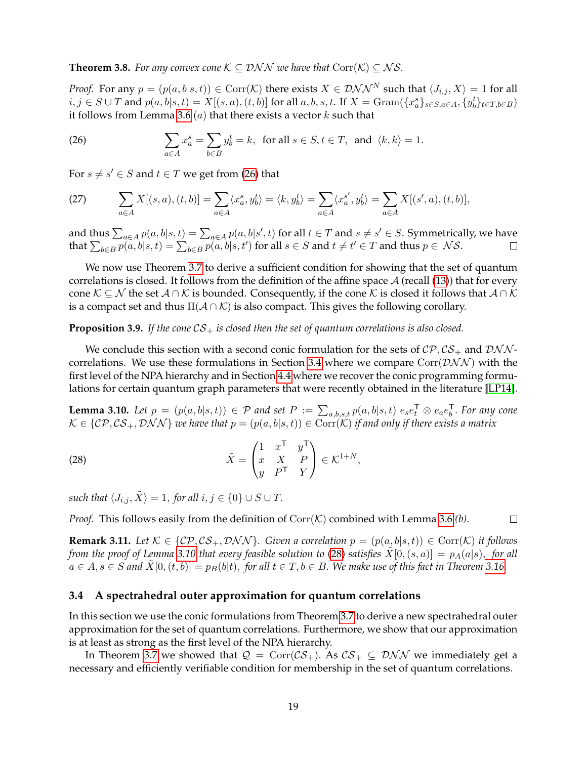<span id="page-18-0"></span>**Theorem 3.8.** *For any convex cone*  $K \subseteq \mathcal{DNN}$  *we have that*  $Corr(K) \subseteq NS$ *.* 

*Proof.* For any  $p = (p(a, b|s, t)) \in \text{Corr}(\mathcal{K})$  there exists  $X \in \mathcal{DNN}^N$  such that  $\langle J_{i,j}, X \rangle = 1$  for all  $i, j \in S \cup T$  and  $p(a, b|s, t) = X[(s, a), (t, b)]$  for all  $a, b, s, t$ . If  $X = \text{Gram}(\{x_a^s\}_{s \in S, a \in A}, \{y_b^t\}_{t \in T, b \in B})$ it follows from Lemma [3.6](#page-17-1) (*a*) that there exists a vector  $k$  such that

<span id="page-18-1"></span>(26) 
$$
\sum_{a \in A} x_a^s = \sum_{b \in B} y_b^t = k, \text{ for all } s \in S, t \in T, \text{ and } \langle k, k \rangle = 1.
$$

For  $s \neq s' \in S$  and  $t \in T$  we get from [\(26\)](#page-18-1) that

(27) 
$$
\sum_{a \in A} X[(s, a), (t, b)] = \sum_{a \in A} \langle x_a^s, y_b^t \rangle = \langle k, y_b^t \rangle = \sum_{a \in A} \langle x_a^{s'}, y_b^t \rangle = \sum_{a \in A} X[(s', a), (t, b)],
$$

and thus  $\sum_{a\in A}p(a,b|s,t)=\sum_{a\in A}p(a,b|s',t)$  for all  $t\in T$  and  $s\neq s'\in S.$  Symmetrically, we have that  $\sum_{b\in B}p(a,b|s,t)=\sum_{b\in B}p(a,b|s,t')$  for all  $s\in S$  and  $t\neq t'\in T$  and thus  $p\in\mathcal{NS}.$  $\Box$ 

We now use Theorem [3.7](#page-17-0) to derive a sufficient condition for showing that the set of quantum correlations is closed. It follows from the definition of the affine space  $A$  (recall [\(13\)](#page-7-2)) that for every cone  $\mathcal{K} \subseteq \mathcal{N}$  the set  $\mathcal{A} \cap \mathcal{K}$  is bounded. Consequently, if the cone  $\mathcal{K}$  is closed it follows that  $\mathcal{A} \cap \mathcal{K}$ is a compact set and thus  $\Pi(\mathcal{A} \cap \mathcal{K})$  is also compact. This gives the following corollary.

#### **Proposition 3.9.** If the cone  $CS_+$  is closed then the set of quantum correlations is also closed.

We conclude this section with a second conic formulation for the sets of  $\mathcal{CP}, \mathcal{CS}_+$  and  $\mathcal{DNN}$ -correlations. We use these formulations in Section [3.4](#page-18-2) where we compare Corr( $\mathcal{DNN}$ ) with the first level of the NPA hierarchy and in Section [4.4](#page-23-0) where we recover the conic programming formulations for certain quantum graph parameters that were recently obtained in the literature [\[LP14\]](#page-33-5).

<span id="page-18-3"></span>**Lemma 3.10.** Let  $p = (p(a,b|s,t)) \in \mathcal{P}$  and set  $P := \sum_{a,b,s,t} p(a,b|s,t)$   $e_s e_t^{\mathsf{T}} \otimes e_a e_b^{\mathsf{T}}$ . For any cone  $\mathcal{K} \in \{ \mathcal{CP}, \mathcal{CS}_+, \mathcal{DNN} \}$  *we have that*  $p = (p(a, b|s, t)) \in \text{Corr}(\mathcal{K})$  *if and only if there exists a matrix* 

<span id="page-18-4"></span>(28) 
$$
\tilde{X} = \begin{pmatrix} 1 & x^{\mathsf{T}} & y^{\mathsf{T}} \\ x & X & P \\ y & P^{\mathsf{T}} & Y \end{pmatrix} \in \mathcal{K}^{1+N},
$$

*such that*  $\langle J_{i,j}, \tilde{X} \rangle = 1$ , *for all*  $i, j \in \{0\} \cup S \cup T$ .

*Proof.* This follows easily from the definition of  $Corr(K)$  combined with Lemma [3.6](#page-17-1) *(b)*.  $\Box$ 

<span id="page-18-5"></span>**Remark 3.11.** *Let*  $K \in \{CP, CS_+, DMN\}$ *. Given a correlation*  $p = (p(a, b|s, t)) \in \text{Corr}(K)$  *it follows from the proof of Lemma* [3.10](#page-18-3) *that every feasible solution to* [\(28\)](#page-18-4) *satisfies*  $\tilde{X}[0,(s,a)] = p_A(a|s)$ , *for all*  $a \in A, s \in S$  and  $\tilde{X}[0,(t,b)] = p_B(b|t)$ , for all  $t \in T, b \in B$ . We make use of this fact in Theorem [3.16.](#page-19-0)

## <span id="page-18-2"></span>**3.4 A spectrahedral outer approximation for quantum correlations**

In this section we use the conic formulations from Theorem [3.7](#page-17-0) to derive a new spectrahedral outer approximation for the set of quantum correlations. Furthermore, we show that our approximation is at least as strong as the first level of the NPA hierarchy.

In Theorem [3.7](#page-17-0) we showed that  $Q = \text{Corr}(\mathcal{CS}_+)$ . As  $\mathcal{CS}_+ \subseteq \mathcal{DNN}$  we immediately get a necessary and efficiently verifiable condition for membership in the set of quantum correlations.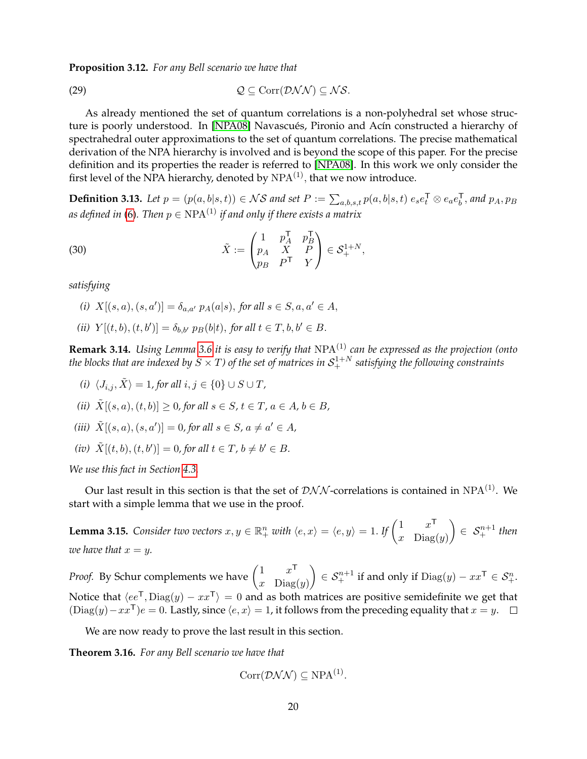<span id="page-19-3"></span>**Proposition 3.12.** *For any Bell scenario we have that*

$$
Q \subseteq \text{Corr}(\mathcal{DNN}) \subseteq \mathcal{NS}.
$$

As already mentioned the set of quantum correlations is a non-polyhedral set whose struc-ture is poorly understood. In [\[NPA08\]](#page-33-0) Navascués, Pironio and Acín constructed a hierarchy of spectrahedral outer approximations to the set of quantum correlations. The precise mathematical derivation of the NPA hierarchy is involved and is beyond the scope of this paper. For the precise definition and its properties the reader is referred to [\[NPA08\]](#page-33-0). In this work we only consider the first level of the NPA hierarchy, denoted by  $NPA^{(1)}$ , that we now introduce.

**Definition 3.13.** Let  $p = (p(a, b|s, t)) \in \mathcal{NS}$  and set  $P := \sum_{a,b,s,t} p(a,b|s,t) e_s e_t^{\mathsf{T}} \otimes e_a e_b^{\mathsf{T}}$ , and  $p_A, p_B$ as defined in [\(6\)](#page-4-1). Then  $p \in \text{NPA}^{(1)}$  if and only if there exists a matrix

<span id="page-19-2"></span>(30) 
$$
\tilde{X} := \begin{pmatrix} 1 & p_A^{\mathsf{T}} & p_B^{\mathsf{T}} \\ p_A & X & P \\ p_B & P^{\mathsf{T}} & Y \end{pmatrix} \in \mathcal{S}_+^{1+N},
$$

*satisfying*

- *(i)*  $X[(s, a), (s, a')] = \delta_{a, a'} p_A(a|s)$ , *for all*  $s \in S, a, a' \in A$ ,
- *(ii)*  $Y[(t, b), (t, b')] = \delta_{b, b'} p_B(b|t)$ , *for all*  $t \in T, b, b' \in B$ .

<span id="page-19-4"></span>**Remark 3.14.** *Using Lemma [3.6](#page-17-1) it is easy to verify that* NPA(1) *can be expressed as the projection (onto* the blocks that are indexed by  $S\times T$ ) of the set of matrices in  $\mathcal{S}^{1+N}_+$  satisfying the following constraints

- *(i)*  $\langle J_{i,j}, \tilde{X} \rangle = 1$ , for all  $i, j \in \{0\} \cup S \cup T$ ,
- *(ii)*  $\tilde{X}[(s, a), (t, b)] \geq 0$ , for all  $s \in S$ ,  $t \in T$ ,  $a \in A$ ,  $b \in B$ ,
- *(iii)*  $\tilde{X}[(s, a), (s, a')] = 0$ , for all  $s \in S$ ,  $a \neq a' \in A$ ,
- *(iv)*  $\tilde{X}[(t, b), (t, b')] = 0$ , for all  $t \in T$ ,  $b \neq b' \in B$ .

*We use this fact in Section [4.3.](#page-22-1)*

Our last result in this section is that the set of  $\mathcal{DNN}$ -correlations is contained in NPA<sup>(1)</sup>. We start with a simple lemma that we use in the proof.

<span id="page-19-1"></span>**Lemma 3.15.** *Consider two vectors*  $x, y \in \mathbb{R}^n_+$  *with*  $\langle e, x \rangle = \langle e, y \rangle = 1$ . *If*  $\begin{pmatrix} 1 & x^{\mathsf{T}} \\ x & \text{Dirichlet} \end{pmatrix}$ x  $\text{Diag}(y)$  $\Big) \in S^{n+1}_+$  then *we have that*  $x = y$ .

*Proof.* By Schur complements we have  $\begin{pmatrix} 1 & x^{\mathsf{T}} \\ x & \text{Disc} \end{pmatrix}$ x  $\text{Diag}(y)$  $\Big) \in \mathcal{S}_{+}^{n+1}$  if and only if  $\text{Diag}(y) - xx^{\mathsf{T}} \in \mathcal{S}_{+}^{n}$ . Notice that  $\langle ee^{\mathsf{T}}, \text{Diag}(y) - xx^{\mathsf{T}} \rangle = 0$  and as both matrices are positive semidefinite we get that  $(\text{Diag}(y) - xx^{\mathsf{T}})e = 0$ . Lastly, since  $\langle e, x \rangle = 1$ , it follows from the preceding equality that  $x = y$ .  $\Box$ 

We are now ready to prove the last result in this section.

<span id="page-19-0"></span>**Theorem 3.16.** *For any Bell scenario we have that*

$$
Corr(DNN) \subseteq NPA^{(1)}.
$$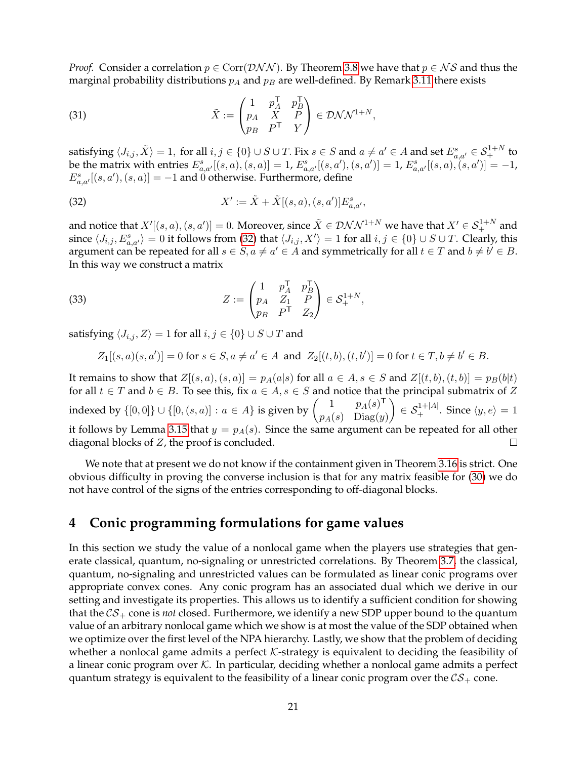*Proof.* Consider a correlation  $p \in \text{Corr}(\mathcal{DNN})$ . By Theorem [3.8](#page-18-0) we have that  $p \in \mathcal{NS}$  and thus the marginal probability distributions  $p_A$  and  $p_B$  are well-defined. By Remark [3.11](#page-18-5) there exists

(31) 
$$
\tilde{X} := \begin{pmatrix} 1 & p_A^{\mathsf{T}} & p_B^{\mathsf{T}} \\ p_A & X & P \\ p_B & P^{\mathsf{T}} & Y \end{pmatrix} \in \mathcal{D} \mathcal{N} \mathcal{N}^{1+N},
$$

satisfying  $\langle J_{i,j}, \tilde X\rangle=1,$  for all  $i,j\in\{0\}\cup S\cup T.$  Fix  $s\in S$  and  $a\neq a'\in A$  and set  $E^s_{a,a'}\in\mathcal S^{1+N}_+$  to be the matrix with entries  $E_{a,a'}^s[(s,a),(s,a)] = 1$ ,  $E_{a,a'}^s[(s,a'),(s,a')] = 1$ ,  $E_{a,a'}^s[(s,a),(s,a')] = -1$ ,  $E_{a,a'}^s[(s,a'),(s,a)]=-1$  and 0 otherwise. Furthermore, define

<span id="page-20-1"></span>(32) 
$$
X' := \tilde{X} + \tilde{X}[(s, a), (s, a')]E_{a, a'}^{s},
$$

and notice that  $X'[(s, a), (s, a')] = 0.$  Moreover, since  $\tilde{X} \in \mathcal{DNN}^{1+N}$  we have that  $X' \in \mathcal{S}_{+}^{1+N}$  and since  $\langle J_{i,j}, E_{a,a'}^s \rangle = 0$  it follows from [\(32\)](#page-20-1) that  $\langle J_{i,j}, X' \rangle = 1$  for all  $i, j \in \{0\} \cup S \cup T$ . Clearly, this argument can be repeated for all  $s \in S$ ,  $a \neq a' \in A$  and symmetrically for all  $t \in T$  and  $b \neq b' \in B$ . In this way we construct a matrix

(33) 
$$
Z := \begin{pmatrix} 1 & p_A^{\mathsf{T}} & p_B^{\mathsf{T}} \\ p_A & Z_1 & P \\ p_B & P^{\mathsf{T}} & Z_2 \end{pmatrix} \in \mathcal{S}_+^{1+N},
$$

satisfying  $\langle J_{i,j}, Z \rangle = 1$  for all  $i, j \in \{0\} \cup S \cup T$  and

$$
Z_1[(s, a)(s, a')] = 0 \text{ for } s \in S, a \neq a' \in A \text{ and } Z_2[(t, b), (t, b')] = 0 \text{ for } t \in T, b \neq b' \in B.
$$

It remains to show that  $Z[(s, a), (s, a)] = p_A(a|s)$  for all  $a \in A$ ,  $s \in S$  and  $Z[(t, b), (t, b)] = p_B(b|t)$ for all  $t \in T$  and  $b \in B$ . To see this, fix  $a \in A$ ,  $s \in S$  and notice that the principal submatrix of Z indexed by  $\{[0,0]\}\cup\{[0,(s,a)] : a \in A\}$  is given by  $\begin{pmatrix} 1 & p_A(s)^\mathsf{T} \\ p_A(s) & \text{Disc}(s) \end{pmatrix}$  $\Big) \in \mathcal{S}_{+}^{1+|A|}$ . Since  $\langle y, e \rangle = 1$  $p_A(s)$  Diag $(y)$ it follows by Lemma [3.15](#page-19-1) that  $y = p_A(s)$ . Since the same argument can be repeated for all other diagonal blocks of Z, the proof is concluded.  $\Box$ 

We note that at present we do not know if the containment given in Theorem [3.16](#page-19-0) is strict. One obvious difficulty in proving the converse inclusion is that for any matrix feasible for [\(30\)](#page-19-2) we do not have control of the signs of the entries corresponding to off-diagonal blocks.

# <span id="page-20-0"></span>**4 Conic programming formulations for game values**

In this section we study the value of a nonlocal game when the players use strategies that generate classical, quantum, no-signaling or unrestricted correlations. By Theorem [3.7,](#page-17-0) the classical, quantum, no-signaling and unrestricted values can be formulated as linear conic programs over appropriate convex cones. Any conic program has an associated dual which we derive in our setting and investigate its properties. This allows us to identify a sufficient condition for showing that the  $CS_+$  cone is *not* closed. Furthermore, we identify a new SDP upper bound to the quantum value of an arbitrary nonlocal game which we show is at most the value of the SDP obtained when we optimize over the first level of the NPA hierarchy. Lastly, we show that the problem of deciding whether a nonlocal game admits a perfect  $K$ -strategy is equivalent to deciding the feasibility of a linear conic program over  $K$ . In particular, deciding whether a nonlocal game admits a perfect quantum strategy is equivalent to the feasibility of a linear conic program over the  $CS_+$  cone.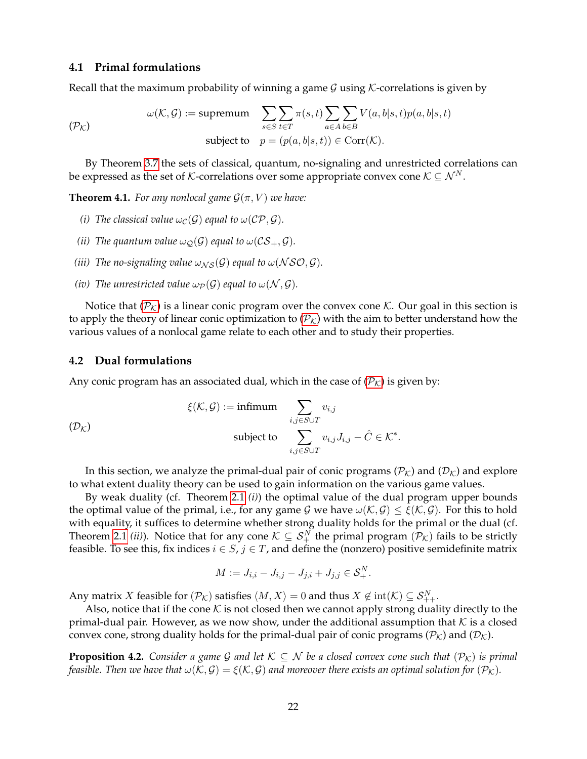#### **4.1 Primal formulations**

Recall that the maximum probability of winning a game  $G$  using K-correlations is given by

<span id="page-21-4"></span><span id="page-21-0"></span>
$$
\omega(\mathcal{K}, \mathcal{G}) := \text{supremum} \quad \sum_{s \in S} \sum_{t \in T} \pi(s, t) \sum_{a \in A} \sum_{b \in B} V(a, b|s, t) p(a, b|s, t)
$$
\n
$$
\text{subject to} \quad p = (p(a, b|s, t)) \in \text{Corr}(\mathcal{K}).
$$

By Theorem [3.7](#page-17-0) the sets of classical, quantum, no-signaling and unrestricted correlations can be expressed as the set of K-correlations over some appropriate convex cone  $K \subseteq \mathcal{N}^N$ .

**Theorem 4.1.** *For any nonlocal game*  $\mathcal{G}(\pi, V)$  *we have:* 

- *(i) The classical value*  $\omega_{\mathcal{C}}(\mathcal{G})$  *equal to*  $\omega(\mathcal{CP}, \mathcal{G})$ *.*
- *(ii) The quantum value*  $\omega_{\mathcal{O}}(\mathcal{G})$  *equal to*  $\omega(\mathcal{CS}_+,\mathcal{G})$ *.*
- *(iii) The no-signaling value*  $\omega_{NS}(\mathcal{G})$  *equal to*  $\omega$  (NSO, G).
- *(iv) The unrestricted value*  $\omega_{\mathcal{P}}(\mathcal{G})$  *equal to*  $\omega(\mathcal{N}, \mathcal{G})$ *.*

Notice that  $(\mathcal{P}_K)$  $(\mathcal{P}_K)$  $(\mathcal{P}_K)$  is a linear conic program over the convex cone K. Our goal in this section is to apply the theory of linear conic optimization to  $(\mathcal{P}_k)$  $(\mathcal{P}_k)$  $(\mathcal{P}_k)$  with the aim to better understand how the various values of a nonlocal game relate to each other and to study their properties.

#### <span id="page-21-1"></span>**4.2 Dual formulations**

Any conic program has an associated dual, which in the case of  $(\mathcal{P}_K)$  $(\mathcal{P}_K)$  $(\mathcal{P}_K)$  is given by:

<span id="page-21-3"></span>
$$
\xi(\mathcal{K}, \mathcal{G}) := \text{infimum} \sum_{i,j \in S \cup T} v_{i,j}
$$
\n
$$
\text{subject to} \sum_{i,j \in S \cup T} v_{i,j} J_{i,j} - \hat{C} \in \mathcal{K}^*.
$$

In this section, we analyze the primal-dual pair of conic programs ( $\mathcal{P}_\mathcal{K}$ ) and  $(\mathcal{D}_\mathcal{K})$  and explore to what extent duality theory can be used to gain information on the various game values.

By weak duality (cf. Theorem [2.1](#page-13-1) *(i)*) the optimal value of the dual program upper bounds the optimal value of the primal, i.e., for any game G we have  $\omega(K, \mathcal{G}) \leq \xi(\mathcal{K}, \mathcal{G})$ . For this to hold with equality, it suffices to determine whether strong duality holds for the primal or the dual (cf. Theorem [2.1](#page-13-1) *(ii)*). Notice that for any cone  $K \subseteq S_+^N$  the primal program  $(\mathcal{P}_K)$  fails to be strictly feasible. To see this, fix indices  $i \in S$ ,  $j \in T$ , and define the (nonzero) positive semidefinite matrix

$$
M := J_{i,i} - J_{i,j} - J_{j,i} + J_{j,j} \in \mathcal{S}_+^N.
$$

Any matrix  $X$  feasible for  $(\mathcal{P}_{\mathcal{K}})$  satisfies  $\langle M, X\rangle = 0$  and thus  $X \not\in \text{int}(\mathcal{K})\subseteq \mathcal{S}^N_{++}.$ 

Also, notice that if the cone K is not closed then we cannot apply strong duality directly to the primal-dual pair. However, as we now show, under the additional assumption that  $K$  is a closed convex cone, strong duality holds for the primal-dual pair of conic programs ( $\mathcal{P}_\mathcal{K}$ ) and ( $\mathcal{D}_\mathcal{K}$ ).

<span id="page-21-2"></span>**Proposition 4.2.** *Consider a game G and let*  $K \subseteq N$  *be a closed convex cone such that*  $(\mathcal{P}_K)$  *is primal feasible. Then we have that*  $\omega(\mathcal{K}, \mathcal{G}) = \xi(\mathcal{K}, \mathcal{G})$  *and moreover there exists an optimal solution for*  $(\mathcal{P}_\mathcal{K})$ *.*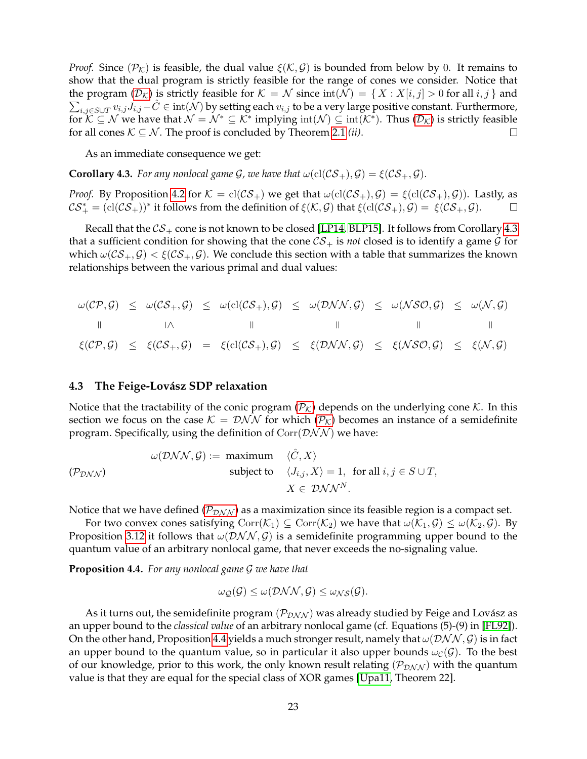*Proof.* Since  $(\mathcal{P}_\mathcal{K})$  is feasible, the dual value  $\xi(\mathcal{K}, \mathcal{G})$  is bounded from below by 0. It remains to show that the dual program is strictly feasible for the range of cones we consider. Notice that the program  $(\mathcal{D}_\mathcal{K})$  $(\mathcal{D}_\mathcal{K})$  $(\mathcal{D}_\mathcal{K})$  is strictly feasible for  $\mathcal{K}=\mathcal{N}$  since  $\mathrm{int}(\mathcal{N})=\set{X:X[i,j]>0}$  for all  $i,j}$  and  $\sum_{i,j\in S\cup T}v_{i,j}J_{i,j}-\hat{C}\in\operatorname{int}(\mathcal{N})$  by setting each  $v_{i,j}$  to be a very large positive constant. Furthermore, for  $K\subseteq\mathcal{N}$  we have that  $\mathcal{N}=\mathcal{N}^*\subseteq\mathcal{K}^*$  implying  $\mathrm{int}(\mathcal{N})\subseteq\mathrm{int}(\mathcal{K}^*)$ . Thus  $(\mathcal{D}_\mathcal{K})$  $(\mathcal{D}_\mathcal{K})$  $(\mathcal{D}_\mathcal{K})$  is strictly feasible for all cones  $K \subseteq \mathcal{N}$ . The proof is concluded by Theorem [2.1](#page-13-1) *(ii)*.  $\Box$ 

As an immediate consequence we get:

<span id="page-22-0"></span>**Corollary 4.3.** *For any nonlocal game G, we have that*  $\omega(\text{cl}(\mathcal{CS}_+), \mathcal{G}) = \xi(\mathcal{CS}_+, \mathcal{G})$ *.* 

*Proof.* By Proposition [4.2](#page-21-2) for  $K = \text{cl}(\mathcal{CS}_+)$  we get that  $\omega(\text{cl}(\mathcal{CS}_+), \mathcal{G}) = \xi(\text{cl}(\mathcal{CS}_+), \mathcal{G})$ ). Lastly, as  $\mathcal{CS}^*_+ = (\mathrm{cl}(\mathcal{CS}_+))^*$  it follows from the definition of  $\xi(\mathcal{K}, \mathcal{G})$  that  $\xi(\mathrm{cl}(\mathcal{CS}_+), \mathcal{G}) = \xi(\mathcal{CS}_+,\mathcal{G})$ .  $\Box$ 

Recall that the  $CS_+$  cone is not known to be closed [\[LP14,](#page-33-5) [BLP15\]](#page-31-6). It follows from Corollary [4.3](#page-22-0) that a sufficient condition for showing that the cone  $CS_+$  is *not* closed is to identify a game  $\mathcal G$  for which  $\omega(CS_+, \mathcal{G}) < \xi(CS_+, \mathcal{G})$ . We conclude this section with a table that summarizes the known relationships between the various primal and dual values:

$$
\omega(\mathcal{CP}, \mathcal{G}) \leq \omega(\mathcal{CS}_+, \mathcal{G}) \leq \omega(\text{cl}(\mathcal{CS}_+), \mathcal{G}) \leq \omega(\mathcal{DNN}, \mathcal{G}) \leq \omega(\mathcal{NSO}, \mathcal{G}) \leq \omega(\mathcal{NSO}, \mathcal{G})
$$
\n
$$
\|\cdot\| \leq \|\cdot\| \leq \|\cdot\| \leq \|\cdot\| \leq \|\cdot\| \leq \|\cdot\| \leq \|\cdot\| \leq \|\cdot\| \leq \|\cdot\| \leq \|\cdot\| \leq \|\cdot\| \leq \|\cdot\| \leq \|\cdot\| \leq \|\cdot\| \leq \|\cdot\| \leq \|\cdot\| \leq \|\cdot\| \leq \|\cdot\| \leq \|\cdot\| \leq \|\cdot\| \leq \|\cdot\| \leq \|\cdot\| \leq \|\cdot\| \leq \|\cdot\| \leq \|\cdot\| \leq \|\cdot\| \leq \|\cdot\| \leq \|\cdot\| \leq \|\cdot\| \leq \|\cdot\| \leq \|\cdot\| \leq \|\cdot\| \leq \|\cdot\| \leq \|\cdot\| \leq \|\cdot\| \leq \|\cdot\| \leq \|\cdot\| \leq \|\cdot\| \leq \|\cdot\| \leq \|\cdot\| \leq \|\cdot\| \leq \|\cdot\| \leq \|\cdot\| \leq \|\cdot\| \leq \|\cdot\| \leq \|\cdot\| \leq \|\cdot\| \leq \|\cdot\| \leq \|\cdot\| \leq \|\cdot\| \leq \|\cdot\| \leq \|\cdot\| \leq \|\cdot\| \leq \|\cdot\| \leq \|\cdot\| \leq \|\cdot\| \leq \|\cdot\| \leq \|\cdot\| \leq \|\cdot\| \leq \|\cdot\| \leq \|\cdot\| \leq \|\cdot\| \leq \|\cdot\| \leq \|\cdot\| \leq \|\cdot\| \leq \|\cdot\| \leq \|\cdot\| \leq \|\cdot\| \leq \|\cdot\| \leq \|\cdot\| \leq \|\cdot\| \leq \|\cdot\| \leq \|\cdot\| \leq \|\cdot\| \leq \|\cdot\| \leq \|\cdot\| \leq \|\cdot\| \leq \|\cdot\| \leq \|\cdot\| \leq \|\cdot\| \leq \
$$

#### <span id="page-22-1"></span>**4.3 The Feige-Lov´asz SDP relaxation**

Notice that the tractability of the conic program ( $\mathcal{P}_k$  $\mathcal{P}_k$  $\mathcal{P}_k$ ) depends on the underlying cone K. In this section we focus on the case  $K = \mathcal{D}NN$  for which  $(\mathcal{P}_K)$  $(\mathcal{P}_K)$  $(\mathcal{P}_K)$  becomes an instance of a semidefinite program. Specifically, using the definition of  $Corr(DNN)$  we have:

<span id="page-22-2"></span>
$$
\omega(\mathcal{DNN}, \mathcal{G}) := \text{ maximum } \langle \hat{C}, X \rangle
$$
  
subject to  $\langle J_{i,j}, X \rangle = 1$ , for all  $i, j \in S \cup T$ ,  
 $X \in \mathcal{DNN}^N$ .

Notice that we have defined ( $\mathcal{P}_{\mathcal{D}NN}$ ) as a maximization since its feasible region is a compact set.

For two convex cones satisfying  $Corr(\mathcal{K}_1) \subseteq Corr(\mathcal{K}_2)$  we have that  $\omega(\mathcal{K}_1, \mathcal{G}) \leq \omega(\mathcal{K}_2, \mathcal{G})$ . By Proposition [3.12](#page-19-3) it follows that  $\omega(\mathcal{DNN}, \mathcal{G})$  is a semidefinite programming upper bound to the quantum value of an arbitrary nonlocal game, that never exceeds the no-signaling value.

<span id="page-22-3"></span>**Proposition 4.4.** *For any nonlocal game* G *we have that*

$$
\omega_{\mathcal{Q}}(\mathcal{G}) \leq \omega(\mathcal{DNN}, \mathcal{G}) \leq \omega_{NS}(\mathcal{G}).
$$

As it turns out, the semidefinite program  $(\mathcal{P}_{\mathcal{DNN}})$  was already studied by Feige and Lovász as an upper bound to the *classical value* of an arbitrary nonlocal game (cf. Equations (5)-(9) in [\[FL92\]](#page-32-4)). On the other hand, Proposition [4.4](#page-22-3) yields a much stronger result, namely that  $\omega(\mathcal{DNN}, \mathcal{G})$  is in fact an upper bound to the quantum value, so in particular it also upper bounds  $\omega_{\mathcal{C}}(\mathcal{G})$ . To the best of our knowledge, prior to this work, the only known result relating  $(\mathcal{P}_{DNN})$  with the quantum value is that they are equal for the special class of XOR games [\[Upa11,](#page-33-15) Theorem 22].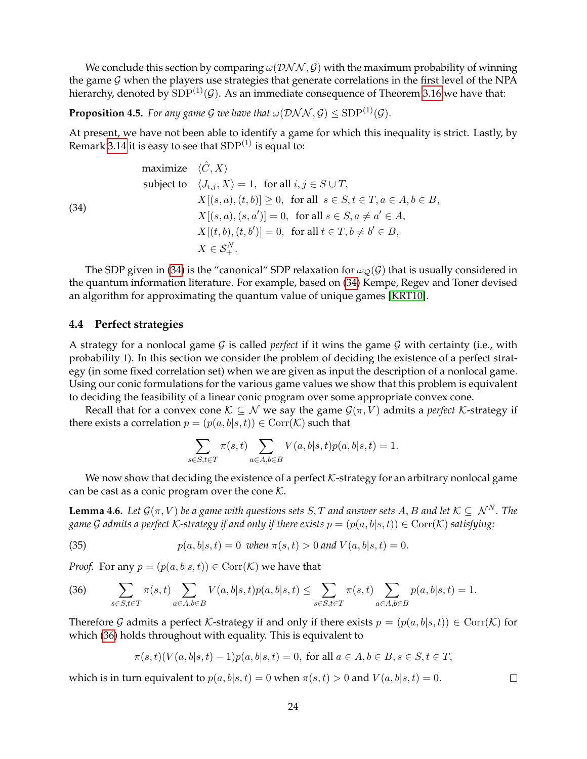We conclude this section by comparing  $\omega(\mathcal{DNN}, \mathcal{G})$  with the maximum probability of winning the game  $G$  when the players use strategies that generate correlations in the first level of the NPA hierarchy, denoted by  $SDP^{(1)}(\mathcal{G})$ . As an immediate consequence of Theorem [3.16](#page-19-0) we have that:

**Proposition 4.5.** *For any game G we have that*  $\omega(\mathcal{DNN}, \mathcal{G}) \leq SDP^{(1)}(\mathcal{G})$ *.* 

At present, we have not been able to identify a game for which this inequality is strict. Lastly, by Remark [3.14](#page-19-4) it is easy to see that  $SDP^{(1)}$  is equal to:

maximize 
$$
\langle \hat{C}, X \rangle
$$
  
\nsubject to  $\langle J_{i,j}, X \rangle = 1$ , for all  $i, j \in S \cup T$ ,  
\n $X[(s, a), (t, b)] \ge 0$ , for all  $s \in S, t \in T, a \in A, b \in B$ ,  
\n $X[(s, a), (s, a')] = 0$ , for all  $s \in S, a \ne a' \in A$ ,  
\n $X[(t, b), (t, b')] = 0$ , for all  $t \in T, b \ne b' \in B$ ,  
\n $X \in S_+^N$ .

The SDP given in [\(34\)](#page-21-4) is the "canonical" SDP relaxation for  $\omega_O(\mathcal{G})$  that is usually considered in the quantum information literature. For example, based on [\(34\)](#page-21-4) Kempe, Regev and Toner devised an algorithm for approximating the quantum value of unique games [\[KRT10\]](#page-33-2).

# <span id="page-23-0"></span>**4.4 Perfect strategies**

(34)

A strategy for a nonlocal game  $G$  is called *perfect* if it wins the game  $G$  with certainty (i.e., with probability 1). In this section we consider the problem of deciding the existence of a perfect strategy (in some fixed correlation set) when we are given as input the description of a nonlocal game. Using our conic formulations for the various game values we show that this problem is equivalent to deciding the feasibility of a linear conic program over some appropriate convex cone.

Recall that for a convex cone  $K \subseteq \mathcal{N}$  we say the game  $\mathcal{G}(\pi, V)$  admits a *perfect* K-strategy if there exists a correlation  $p = (p(a, b|s, t)) \in \text{Corr}(\mathcal{K})$  such that

<span id="page-23-3"></span>
$$
\sum_{s \in S, t \in T} \pi(s, t) \sum_{a \in A, b \in B} V(a, b|s, t) p(a, b|s, t) = 1.
$$

We now show that deciding the existence of a perfect  $K$ -strategy for an arbitrary nonlocal game can be cast as a conic program over the cone  $K$ .

<span id="page-23-1"></span>**Lemma 4.6.** *Let*  $\mathcal{G}(\pi, V)$  *be a game with questions sets S, T and answer sets A, B and let*  $K \subseteq \mathcal{N}^N$ *. The game* G admits a perfect *K*-strategy if and only if there exists  $p = (p(a, b|s, t)) \in \text{Corr}(K)$  satisfying:

(35) 
$$
p(a, b|s, t) = 0 \text{ when } \pi(s, t) > 0 \text{ and } V(a, b|s, t) = 0.
$$

*Proof.* For any  $p = (p(a, b|s, t)) \in \text{Corr}(\mathcal{K})$  we have that

<span id="page-23-2"></span>(36) 
$$
\sum_{s \in S, t \in T} \pi(s, t) \sum_{a \in A, b \in B} V(a, b | s, t) p(a, b | s, t) \leq \sum_{s \in S, t \in T} \pi(s, t) \sum_{a \in A, b \in B} p(a, b | s, t) = 1.
$$

Therefore G admits a perfect K-strategy if and only if there exists  $p = (p(a, b|s, t)) \in \text{Corr}(K)$  for which [\(36\)](#page-23-2) holds throughout with equality. This is equivalent to

$$
\pi(s,t)(V(a,b|s,t)-1)p(a,b|s,t) = 0, \text{ for all } a \in A, b \in B, s \in S, t \in T,
$$

which is in turn equivalent to  $p(a, b|s, t) = 0$  when  $\pi(s, t) > 0$  and  $V(a, b|s, t) = 0$ .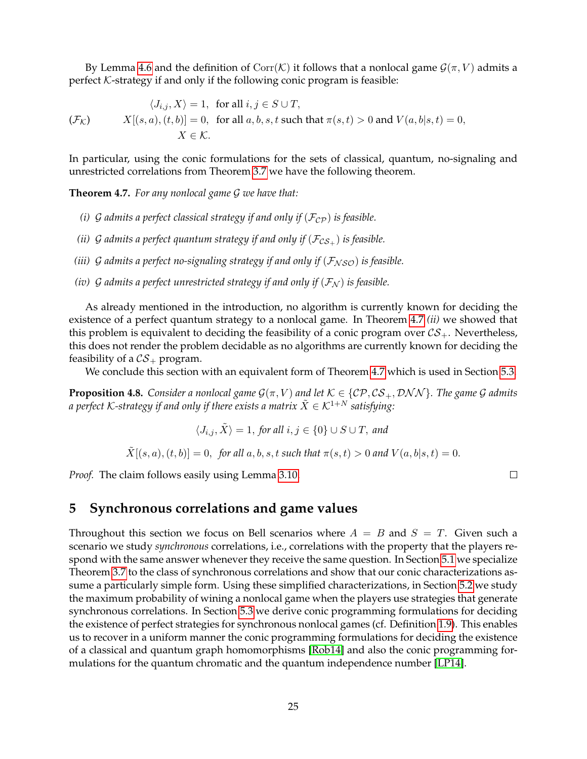By Lemma [4.6](#page-23-1) and the definition of  $Corr(K)$  it follows that a nonlocal game  $\mathcal{G}(\pi, V)$  admits a perfect  $K$ -strategy if and only if the following conic program is feasible:

$$
\langle J_{i,j}, X \rangle = 1, \text{ for all } i, j \in S \cup T,
$$
  

$$
(F_{\mathcal{K}}) \qquad X[(s, a), (t, b)] = 0, \text{ for all } a, b, s, t \text{ such that } \pi(s, t) > 0 \text{ and } V(a, b|s, t) = 0,
$$
  

$$
X \in \mathcal{K}.
$$

In particular, using the conic formulations for the sets of classical, quantum, no-signaling and unrestricted correlations from Theorem [3.7](#page-17-0) we have the following theorem.

<span id="page-24-0"></span>**Theorem 4.7.** *For any nonlocal game* G *we have that:*

- *(i)* G admits a perfect classical strategy if and only if  $(\mathcal{F}_{CP})$  is feasible.
- *(ii)* G admits a perfect quantum strategy if and only if  $(\mathcal{F}_{CS_+})$  is feasible.
- *(iii)* G admits a perfect no-signaling strategy if and only if  $(F_{NSO})$  is feasible.
- *(iv)* G admits a perfect unrestricted strategy if and only if  $(\mathcal{F}_N)$  is feasible.

As already mentioned in the introduction, no algorithm is currently known for deciding the existence of a perfect quantum strategy to a nonlocal game. In Theorem [4.7](#page-24-0) *(ii)* we showed that this problem is equivalent to deciding the feasibility of a conic program over  $CS_+$ . Nevertheless, this does not render the problem decidable as no algorithms are currently known for deciding the feasibility of a  $CS_+$  program.

We conclude this section with an equivalent form of Theorem [4.7](#page-24-0) which is used in Section [5.3.](#page-27-0)

**Proposition 4.8.** *Consider a nonlocal game*  $\mathcal{G}(\pi, V)$  *and let*  $\mathcal{K} \in \{C\mathcal{P}, CS_+, \mathcal{DNN}\}$ *. The game G admits a perfect* K-strategy if and only if there exists a matrix  $\tilde{X} \in \mathcal{K}^{1+N}$  satisfying:

$$
\langle J_{i,j}, X \rangle = 1, \text{ for all } i, j \in \{0\} \cup S \cup T, \text{ and }
$$

 $\tilde{X}[(s, a), (t, b)] = 0$ , for all a, b, s, t such that  $\pi(s, t) > 0$  and  $V(a, b|s, t) = 0$ .

*Proof.* The claim follows easily using Lemma [3.10.](#page-18-3)

# <span id="page-24-1"></span>**5 Synchronous correlations and game values**

Throughout this section we focus on Bell scenarios where  $A = B$  and  $S = T$ . Given such a scenario we study *synchronous* correlations, i.e., correlations with the property that the players respond with the same answer whenever they receive the same question. In Section [5.1](#page-25-0) we specialize Theorem [3.7](#page-17-0) to the class of synchronous correlations and show that our conic characterizations assume a particularly simple form. Using these simplified characterizations, in Section [5.2](#page-26-1) we study the maximum probability of wining a nonlocal game when the players use strategies that generate synchronous correlations. In Section [5.3](#page-27-0) we derive conic programming formulations for deciding the existence of perfect strategies for synchronous nonlocal games (cf. Definition [1.9\)](#page-11-0). This enables us to recover in a uniform manner the conic programming formulations for deciding the existence of a classical and quantum graph homomorphisms [\[Rob14\]](#page-33-6) and also the conic programming formulations for the quantum chromatic and the quantum independence number [\[LP14\]](#page-33-5).

 $\Box$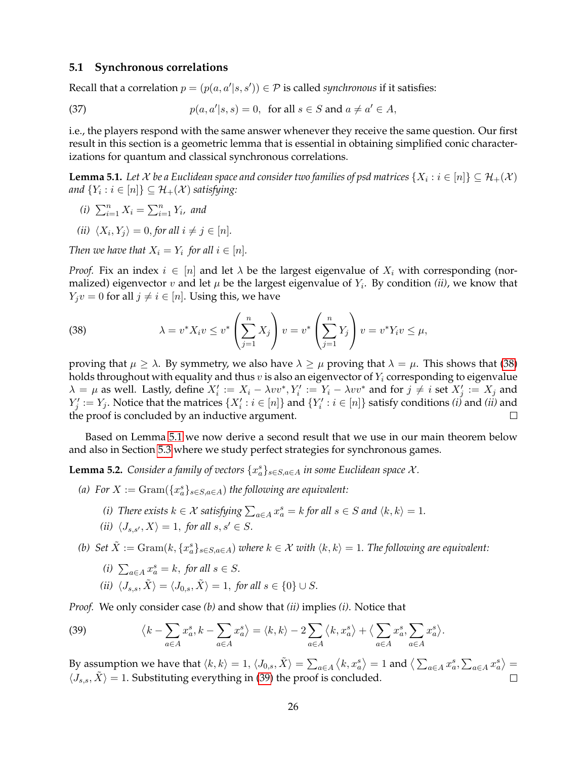#### <span id="page-25-0"></span>**5.1 Synchronous correlations**

Recall that a correlation  $p = (p(a, a'|s, s')) \in \mathcal{P}$  is called *synchronous* if it satisfies:

(37) 
$$
p(a, a'|s, s) = 0, \text{ for all } s \in S \text{ and } a \neq a' \in A,
$$

i.e., the players respond with the same answer whenever they receive the same question. Our first result in this section is a geometric lemma that is essential in obtaining simplified conic characterizations for quantum and classical synchronous correlations.

<span id="page-25-2"></span>**Lemma 5.1.** Let  $\mathcal X$  be a Euclidean space and consider two families of psd matrices  $\{X_i : i \in [n]\} \subseteq \mathcal H_+(\mathcal X)$ and  $\{Y_i : i \in [n]\} \subseteq \mathcal{H}_+(\mathcal{X})$  satisfying:

- *(i)*  $\sum_{i=1}^{n} X_i = \sum_{i=1}^{n} Y_i$ *, and*
- (*ii*)  $\langle X_i, Y_j \rangle = 0$ , *for all*  $i \neq j \in [n]$ *.*

*Then we have that*  $X_i = Y_i$  *for all*  $i \in [n]$ *.* 

*Proof.* Fix an index  $i \in [n]$  and let  $\lambda$  be the largest eigenvalue of  $X_i$  with corresponding (normalized) eigenvector  $v$  and let  $\mu$  be the largest eigenvalue of  $Y_i$ . By condition (ii), we know that  $Y_i v = 0$  for all  $j \neq i \in [n]$ . Using this, we have

<span id="page-25-1"></span>(38) 
$$
\lambda = v^* X_i v \le v^* \left( \sum_{j=1}^n X_j \right) v = v^* \left( \sum_{j=1}^n Y_j \right) v = v^* Y_i v \le \mu,
$$

proving that  $\mu \geq \lambda$ . By symmetry, we also have  $\lambda \geq \mu$  proving that  $\lambda = \mu$ . This shows that [\(38\)](#page-25-1) holds throughout with equality and thus  $v$  is also an eigenvector of  $Y_i$  corresponding to eigenvalue  $\lambda = \mu$  as well. Lastly, define  $X'_i := X_i - \lambda vv^*$ ,  $Y'_i := Y_i - \lambda vv^*$  and for  $j \neq i$  set  $X'_j := X_j$  and  $Y'_j := Y_j.$  Notice that the matrices  $\{X'_i : i \in [n]\}$  and  $\{Y'_i : i \in [n]\}$  satisfy conditions *(i)* and *(ii)* and the proof is concluded by an inductive argument.  $\perp$ 

Based on Lemma [5.1](#page-25-2) we now derive a second result that we use in our main theorem below and also in Section [5.3](#page-27-0) where we study perfect strategies for synchronous games.

<span id="page-25-4"></span>**Lemma 5.2.** *Consider a family of vectors*  $\{x_a^s\}_{s \in S, a \in A}$  *in some Euclidean space*  $\mathcal{X}$ *.* 

- (a) For  $X := \text{Gram}(\{x_a^s\}_{s \in S, a \in A})$  *the following are equivalent:* 
	- *(i) There exists*  $k \in \mathcal{X}$  *satisfying*  $\sum_{a \in A} x_a^s = k$  *for all*  $s \in S$  *and*  $\langle k, k \rangle = 1$ *.*
	- *(ii)*  $\langle J_{s,s'}, X \rangle = 1$ , *for all*  $s, s' \in S$ *.*
- *(b)*  $Set\ \tilde{X} := \mathrm{Gram}(k, \{x_a^s\}_{s\in S, a\in A})$  where  $k\in \mathcal{X}$  with  $\langle k, k \rangle = 1$ . The following are equivalent:
	- (*i*)  $\sum_{a \in A} x_a^s = k$ , *for all*  $s \in S$ .
	- *(ii)*  $\langle J_{s,s}, \tilde{X} \rangle = \langle J_{0,s}, \tilde{X} \rangle = 1$ , *for all*  $s \in \{0\} \cup S$ *.*

*Proof.* We only consider case *(b)* and show that *(ii)* implies *(i)*. Notice that

<span id="page-25-3"></span>(39) 
$$
\langle k - \sum_{a \in A} x_a^s, k - \sum_{a \in A} x_a^s \rangle = \langle k, k \rangle - 2 \sum_{a \in A} \langle k, x_a^s \rangle + \langle \sum_{a \in A} x_a^s, \sum_{a \in A} x_a^s \rangle.
$$

By assumption we have that  $\langle k, k \rangle = 1, \langle J_{0,s}, \tilde{X} \rangle = \sum_{a \in A} \langle k, x_a^s \rangle = 1$  and  $\langle \sum_{a \in A} x_a^s, \sum_{a \in A} x_a^s \rangle =$  $\langle J_{s,s}, \tilde{X}\rangle = 1.$  Substituting everything in [\(39\)](#page-25-3) the proof is concluded.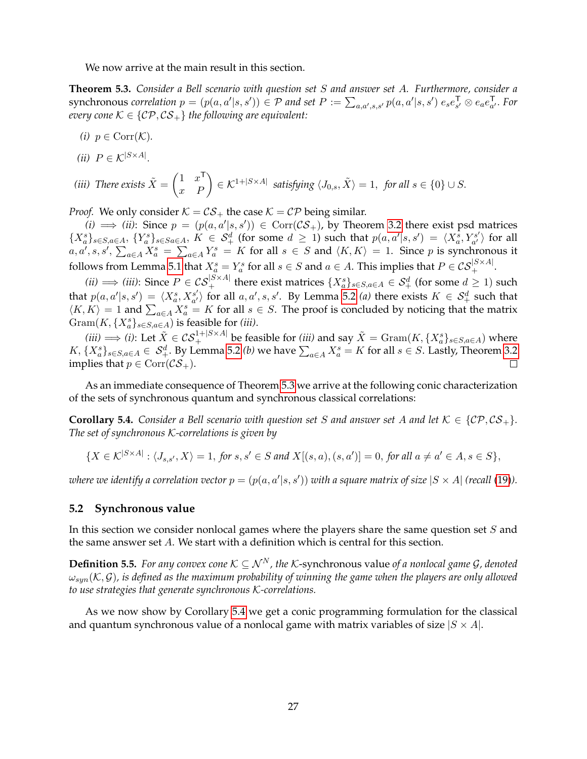We now arrive at the main result in this section.

<span id="page-26-0"></span>**Theorem 5.3.** *Consider a Bell scenario with question set* S *and answer set* A*. Furthermore, consider a* synchronous correlation  $p = (p(a, a'|s, s')) \in \mathcal{P}$  and set  $P := \sum_{a,a',s,s'} p(a, a'|s, s') e_s e_{s'}^{\mathsf{T}} \otimes e_a e_{a'}^{\mathsf{T}}$ . For *every cone*  $K \in \{CP, CS_+\}$  *the following are equivalent:* 

- *(i)*  $p \in \text{Corr}(\mathcal{K})$ .
- (*ii*)  $P \in \mathcal{K}^{|S \times A|}$ .

(iii) There exists 
$$
\tilde{X} = \begin{pmatrix} 1 & x^{\mathsf{T}} \\ x & P \end{pmatrix} \in \mathcal{K}^{1+|S \times A|}
$$
 satisfying  $\langle J_{0,s}, \tilde{X} \rangle = 1$ , for all  $s \in \{0\} \cup S$ .

*Proof.* We only consider  $K = \mathcal{CS}_+$  the case  $K = \mathcal{CP}$  being similar.

 $(i) \implies (ii)$ : Since  $p = (p(a, a'|s, s')) \in \text{Corr}(\mathcal{CS}_+)$ , by Theorem [3.2](#page-14-2) there exist psd matrices  ${X_a^s}_{s\in S, a\in A}$ ,  ${Y_a^s}_{s\in Sa\in A}$ ,  $K \in S_+^d$  (for some  $d \ge 1$ ) such that  $p(a, a'|s, s') = \langle X_a^s, Y_{a'}^{s'} \rangle$  $\binom{s'}{a'}$  for all  $a, a', s, s', \sum_{a \in A} X_a^s = \sum_{a \in A} Y_a^s = K$  for all  $s \in S$  and  $\langle K, K \rangle = 1$ . Since p is synchronous it follows from Lemma [5.1](#page-25-2) that  $X_a^s=Y_a^s$  for all  $s\in S$  and  $a\in A$ . This implies that  $P\in\mathcal{CS}_{+}^{|S\times A|}.$ 

*(ii)*  $\implies$  *(iii)*: Since  $P \in \mathcal{CS}_+^{|S \times A|}$  there exist matrices  $\{X_a^s\}_{s \in S, a \in A} \in \mathcal{S}_+^d$  (for some  $d \geq 1$ ) such that  $p(a, a' | s, s') = \langle X_a^s, X_{a'}^{s'} \rangle$  $\langle a'_{a'} \rangle$  for all  $a, a', s, s'$ . By Lemma [5.2](#page-25-4) *(a)* there exists  $K \in S^d_+$  such that  $\langle K, K \rangle = 1$  and  $\sum_{a \in A} X_a^s = K$  for all  $s \in S$ . The proof is concluded by noticing that the matrix  $\operatorname{Gram}(K, \{X_a^s\}_{s \in S, a \in A})$  is feasible for *(iii)*.

 $(iii) \Longrightarrow (i)$ : Let  $\tilde{X} \in \mathcal{CS}_+^{1+|S \times A|}$  be feasible for  $(iii)$  and say  $\tilde{X} = \mathrm{Gram}(K, \{X_a^s\}_{s \in S, a \in A})$  where  $K, \{X^s_a\}_{s\in S, a\in A} \in S^d_+$ . By Lemma [5.2](#page-25-4) *(b)* we have  $\sum_{a\in A}X^s_a = K$  for all  $s\in S$ . Lastly, Theorem [3.2](#page-14-2) implies that  $p \in \text{Corr}(\mathcal{CS}_+)$ .  $\Box$ 

As an immediate consequence of Theorem [5.3](#page-26-0) we arrive at the following conic characterization of the sets of synchronous quantum and synchronous classical correlations:

<span id="page-26-3"></span>**Corollary 5.4.** *Consider a Bell scenario with question set* S *and answer set* A *and let*  $K \in \{C\mathcal{P}, C\mathcal{S}_+\}$ *. The set of synchronous* K*-correlations is given by*

$$
\{X \in \mathcal{K}^{|S \times A|} : \langle J_{s,s'}, X \rangle = 1, \text{ for } s, s' \in S \text{ and } X[(s,a),(s,a')] = 0, \text{ for all } a \neq a' \in A, s \in S\},\
$$

where we identify a correlation vector  $p = (p(a, a'|s, s'))$  with a square matrix of size  $|S \times A|$  (recall [\(19\)](#page-10-1)).

#### <span id="page-26-1"></span>**5.2 Synchronous value**

In this section we consider nonlocal games where the players share the same question set  $S$  and the same answer set A. We start with a definition which is central for this section.

<span id="page-26-2"></span>**Definition 5.5.** *For any convex cone*  $K \subseteq \mathcal{N}^N$ , the K-synchronous value of a nonlocal game G, denoted  $\omega_{sum}(\mathcal{K}, \mathcal{G})$ , is defined as the maximum probability of winning the game when the players are only allowed *to use strategies that generate synchronous* K*-correlations.*

As we now show by Corollary [5.4](#page-26-3) we get a conic programming formulation for the classical and quantum synchronous value of a nonlocal game with matrix variables of size  $|S \times A|$ .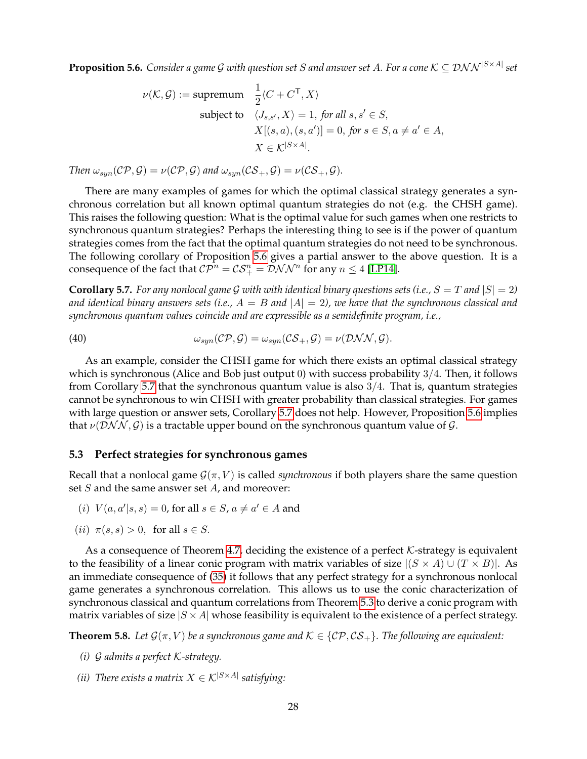<span id="page-27-2"></span>**Proposition 5.6.** Consider a game G with question set S and answer set A. For a cone  $\mathcal{K} \subseteq \mathcal{DNN}^{|S \times A|}$  set

$$
\nu(K, \mathcal{G}) := \text{supremum} \quad \frac{1}{2} \langle C + C^{\mathsf{T}}, X \rangle
$$
  
subject to  $\langle J_{s,s'}, X \rangle = 1$ , for all  $s, s' \in S$ ,  
 $X[(s, a), (s, a')] = 0$ , for  $s \in S, a \neq a' \in A$ ,  
 $X \in K^{|S \times A|}$ .

*Then*  $\omega_{sym}(\mathcal{CP}, \mathcal{G}) = \nu(\mathcal{CP}, \mathcal{G})$  *and*  $\omega_{sym}(\mathcal{CS}_+, \mathcal{G}) = \nu(\mathcal{CS}_+, \mathcal{G})$ *.* 

There are many examples of games for which the optimal classical strategy generates a synchronous correlation but all known optimal quantum strategies do not (e.g. the CHSH game). This raises the following question: What is the optimal value for such games when one restricts to synchronous quantum strategies? Perhaps the interesting thing to see is if the power of quantum strategies comes from the fact that the optimal quantum strategies do not need to be synchronous. The following corollary of Proposition [5.6](#page-27-2) gives a partial answer to the above question. It is a consequence of the fact that  $\mathcal{CP}^n = \mathcal{CS}^n_+ = \mathcal{D}\mathcal{NN}^n$  for any  $n \leq 4$  [\[LP14\]](#page-33-5).

<span id="page-27-3"></span>**Corollary 5.7.** *For any nonlocal game G with with identical binary questions sets (i.e.,*  $S = T$  *and*  $|S| = 2$ ) and identical binary answers sets (i.e.,  $A = B$  and  $|A| = 2$ ), we have that the synchronous classical and *synchronous quantum values coincide and are expressible as a semidefinite program, i.e.,*

(40) 
$$
\omega_{syn}(\mathcal{CP}, \mathcal{G}) = \omega_{syn}(\mathcal{CS}_+, \mathcal{G}) = \nu(\mathcal{DNN}, \mathcal{G}).
$$

As an example, consider the CHSH game for which there exists an optimal classical strategy which is synchronous (Alice and Bob just output 0) with success probability 3/4. Then, it follows from Corollary [5.7](#page-27-3) that the synchronous quantum value is also 3/4. That is, quantum strategies cannot be synchronous to win CHSH with greater probability than classical strategies. For games with large question or answer sets, Corollary [5.7](#page-27-3) does not help. However, Proposition [5.6](#page-27-2) implies that  $\nu(\mathcal{DNN}, \mathcal{G})$  is a tractable upper bound on the synchronous quantum value of  $\mathcal{G}$ .

#### <span id="page-27-0"></span>**5.3 Perfect strategies for synchronous games**

Recall that a nonlocal game  $\mathcal{G}(\pi, V)$  is called *synchronous* if both players share the same question set  $S$  and the same answer set  $A$ , and moreover:

- (i)  $V(a, a'|s, s) = 0$ , for all  $s \in S$ ,  $a \neq a' \in A$  and
- (*ii*)  $\pi(s, s) > 0$ , for all  $s \in S$ .

As a consequence of Theorem [4.7,](#page-24-0) deciding the existence of a perfect  $K$ -strategy is equivalent to the feasibility of a linear conic program with matrix variables of size  $|(S \times A) \cup (T \times B)|$ . As an immediate consequence of [\(35\)](#page-23-3) it follows that any perfect strategy for a synchronous nonlocal game generates a synchronous correlation. This allows us to use the conic characterization of synchronous classical and quantum correlations from Theorem [5.3](#page-26-0) to derive a conic program with matrix variables of size  $|S \times A|$  whose feasibility is equivalent to the existence of a perfect strategy.

<span id="page-27-1"></span>**Theorem 5.8.** Let  $\mathcal{G}(\pi, V)$  be a synchronous game and  $\mathcal{K} \in \{C\mathcal{P}, C\mathcal{S}_+\}$ . The following are equivalent:

- *(i)* G *admits a perfect* K*-strategy.*
- *(ii) There exists a matrix*  $X \in \mathcal{K}^{|S \times A|}$  *satisfying:*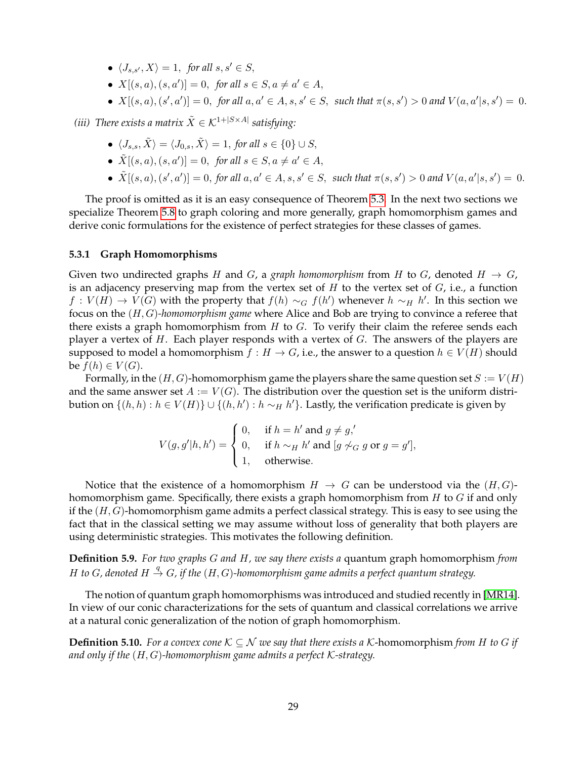- $\langle J_{s,s'}, X \rangle = 1$ , *for all*  $s, s' \in S$ ,
- $X[(s, a), (s, a')] = 0$ , for all  $s \in S$ ,  $a \neq a' \in A$ ,
- $X[(s, a), (s', a')] = 0$ , for all  $a, a' \in A$ ,  $s, s' \in S$ , such that  $\pi(s, s') > 0$  and  $V(a, a'|s, s') = 0$ .

*(iii)* There exists a matrix  $\tilde{X} \in \mathcal{K}^{1+|S \times A|}$  satisfying:

- $\langle J_{s,s}, \tilde{X} \rangle = \langle J_{0,s}, \tilde{X} \rangle = 1$ , *for all*  $s \in \{0\} \cup S$ ,
- $\tilde{X}[(s, a), (s, a')] = 0$ , for all  $s \in S$ ,  $a \neq a' \in A$ ,
- $\tilde{X}[(s, a), (s', a')] = 0$ , for all  $a, a' \in A$ ,  $s, s' \in S$ , such that  $\pi(s, s') > 0$  and  $V(a, a'|s, s') = 0$ .

The proof is omitted as it is an easy consequence of Theorem [5.3.](#page-26-0) In the next two sections we specialize Theorem [5.8](#page-27-1) to graph coloring and more generally, graph homomorphism games and derive conic formulations for the existence of perfect strategies for these classes of games.

### <span id="page-28-0"></span>**5.3.1 Graph Homomorphisms**

Given two undirected graphs H and G, a *graph homomorphism* from H to G, denoted  $H \rightarrow G$ , is an adjacency preserving map from the vertex set of  $H$  to the vertex set of  $G$ , i.e., a function  $f: V(H) \rightarrow V(G)$  with the property that  $f(h) \sim_G f(h')$  whenever  $h \sim_H h'$ . In this section we focus on the (H, G)*-homomorphism game* where Alice and Bob are trying to convince a referee that there exists a graph homomorphism from  $H$  to  $G$ . To verify their claim the referee sends each player a vertex of  $H$ . Each player responds with a vertex of  $G$ . The answers of the players are supposed to model a homomorphism  $f : H \to G$ , i.e., the answer to a question  $h \in V(H)$  should be  $f(h) \in V(G)$ .

Formally, in the  $(H, G)$ -homomorphism game the players share the same question set  $S := V(H)$ and the same answer set  $A := V(G)$ . The distribution over the question set is the uniform distribution on  $\{(h,h): h \in V(H)\} \cup \{(h,h') : h \sim_H h'\}$ . Lastly, the verification predicate is given by

$$
V(g, g'|h, h') = \begin{cases} 0, & \text{if } h = h' \text{ and } g \neq g, \\ 0, & \text{if } h \sim_H h' \text{ and } [g \not\sim_G g \text{ or } g = g'], \\ 1, & \text{otherwise.} \end{cases}
$$

Notice that the existence of a homomorphism  $H \to G$  can be understood via the  $(H, G)$ homomorphism game. Specifically, there exists a graph homomorphism from  $H$  to  $G$  if and only if the  $(H, G)$ -homomorphism game admits a perfect classical strategy. This is easy to see using the fact that in the classical setting we may assume without loss of generality that both players are using deterministic strategies. This motivates the following definition.

**Definition 5.9.** *For two graphs* G *and* H*, we say there exists a* quantum graph homomorphism *from* H to G, denoted  $H \stackrel{q}{\rightarrow} G$ , if the  $(H, G)$ -homomorphism game admits a perfect quantum strategy.

The notion of quantum graph homomorphisms was introduced and studied recently in [\[MR14\]](#page-33-8). In view of our conic characterizations for the sets of quantum and classical correlations we arrive at a natural conic generalization of the notion of graph homomorphism.

**Definition 5.10.** *For a convex cone*  $K \subseteq \mathcal{N}$  *we say that there exists a* K-homomorphism *from* H to G if *and only if the* (H, G)*-homomorphism game admits a perfect* K*-strategy.*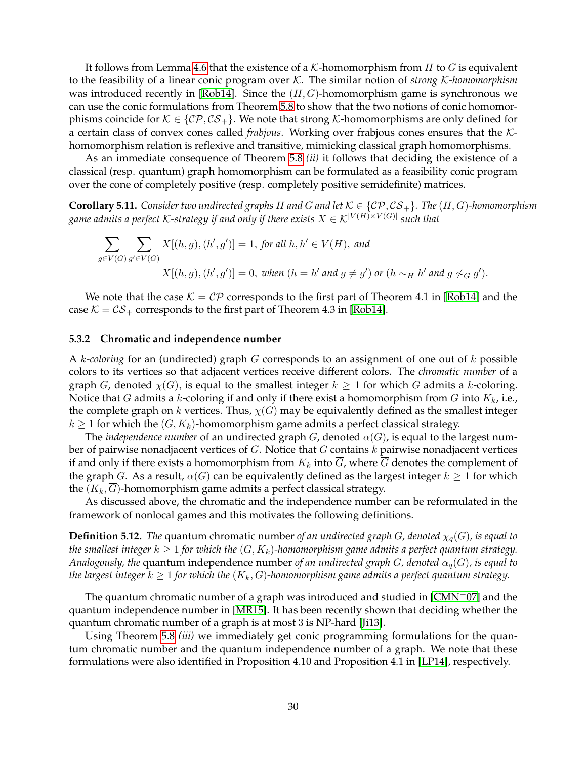It follows from Lemma [4.6](#page-23-1) that the existence of a  $K$ -homomorphism from H to G is equivalent to the feasibility of a linear conic program over K. The similar notion of *strong* K*-homomorphism* was introduced recently in [\[Rob14\]](#page-33-6). Since the  $(H, G)$ -homomorphism game is synchronous we can use the conic formulations from Theorem [5.8](#page-27-1) to show that the two notions of conic homomorphisms coincide for  $K \in \{C\mathcal{P}, C\mathcal{S}_+\}$ . We note that strong K-homomorphisms are only defined for a certain class of convex cones called *frabjous*. Working over frabjous cones ensures that the Khomomorphism relation is reflexive and transitive, mimicking classical graph homomorphisms.

As an immediate consequence of Theorem [5.8](#page-27-1) *(ii)* it follows that deciding the existence of a classical (resp. quantum) graph homomorphism can be formulated as a feasibility conic program over the cone of completely positive (resp. completely positive semidefinite) matrices.

**Corollary 5.11.** *Consider two undirected graphs* H and G and let  $K \in \{CP, CS_+\}$ *. The*  $(H, G)$ *-homomorphism* game admits a perfect K-strategy if and only if there exists  $X \in \mathcal{K}^{|V(H) \times V(G)|}$  such that

$$
\sum_{g \in V(G)} \sum_{g' \in V(G)} X[(h, g), (h', g')] = 1, \text{ for all } h, h' \in V(H), \text{ and}
$$
  

$$
X[(h, g), (h', g')] = 0, \text{ when } (h = h' \text{ and } g \neq g') \text{ or } (h \sim_H h' \text{ and } g \not\sim_G g').
$$

We note that the case  $\mathcal{K} = \mathcal{CP}$  corresponds to the first part of Theorem 4.1 in [\[Rob14\]](#page-33-6) and the case  $K = \mathcal{CS}_+$  corresponds to the first part of Theorem 4.3 in [\[Rob14\]](#page-33-6).

#### <span id="page-29-0"></span>**5.3.2 Chromatic and independence number**

A k*-coloring* for an (undirected) graph G corresponds to an assignment of one out of k possible colors to its vertices so that adjacent vertices receive different colors. The *chromatic number* of a graph G, denoted  $\chi(G)$ , is equal to the smallest integer  $k \geq 1$  for which G admits a k-coloring. Notice that G admits a k-coloring if and only if there exist a homomorphism from G into  $K_k$ , i.e., the complete graph on k vertices. Thus,  $\chi(G)$  may be equivalently defined as the smallest integer  $k \geq 1$  for which the  $(G, K_k)$ -homomorphism game admits a perfect classical strategy.

The *independence number* of an undirected graph  $G$ , denoted  $\alpha(G)$ , is equal to the largest number of pairwise nonadjacent vertices of  $G$ . Notice that  $G$  contains  $k$  pairwise nonadjacent vertices if and only if there exists a homomorphism from  $K_k$  into  $\overline{G}$ , where  $\overline{G}$  denotes the complement of the graph G. As a result,  $\alpha(G)$  can be equivalently defined as the largest integer  $k \geq 1$  for which the  $(K_k, \overline{G})$ -homomorphism game admits a perfect classical strategy.

As discussed above, the chromatic and the independence number can be reformulated in the framework of nonlocal games and this motivates the following definitions.

**Definition 5.12.** *The* quantum chromatic number *of an undirected graph G*, *denoted*  $\chi_q(G)$ , *is equal to the smallest integer*  $k \geq 1$  *for which the*  $(G, K_k)$ -homomorphism game admits a perfect quantum strategy. *Analogously, the* quantum independence number *of an undirected graph G, denoted*  $\alpha_q(G)$ *, is equal to the largest integer*  $k \geq 1$  *for which the*  $(K_k, \overline{G})$ -homomorphism game admits a perfect quantum strategy.

The quantum chromatic number of a graph was introduced and studied in  $[CMN<sup>+</sup>07]$  $[CMN<sup>+</sup>07]$  and the quantum independence number in [\[MR15\]](#page-33-11). It has been recently shown that deciding whether the quantum chromatic number of a graph is at most 3 is NP-hard [\[Ji13\]](#page-32-10).

Using Theorem [5.8](#page-27-1) *(iii)* we immediately get conic programming formulations for the quantum chromatic number and the quantum independence number of a graph. We note that these formulations were also identified in Proposition 4.10 and Proposition 4.1 in [\[LP14\]](#page-33-5), respectively.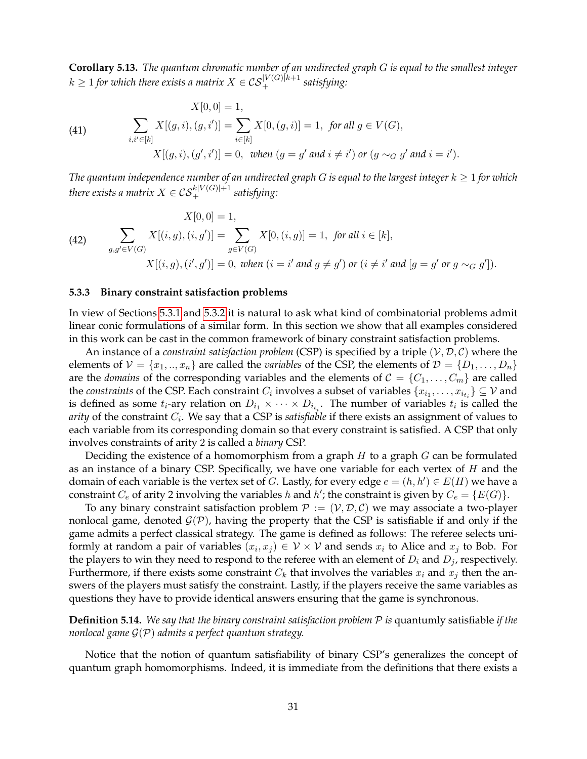**Corollary 5.13.** *The quantum chromatic number of an undirected graph* G *is equal to the smallest integer*  $k \geq 1$  for which there exists a matrix  $X \in \mathcal{CS}_{+}^{|V(G)|k+1}$  satisfying:

(41) 
$$
X[0,0] = 1,
$$

$$
\sum_{i,i' \in [k]} X[(g,i),(g,i')] = \sum_{i \in [k]} X[0,(g,i)] = 1, \text{ for all } g \in V(G),
$$

$$
X[(g,i),(g',i')] = 0, \text{ when } (g = g' \text{ and } i \neq i') \text{ or } (g \sim_G g' \text{ and } i = i').
$$

*The quantum independence number of an undirected graph*  $G$  *is equal to the largest integer*  $k \geq 1$  *for which* there exists a matrix  $X\in\mathcal{CS}^{k|V(G)|+1}_+$  satisfying:

(42) 
$$
X[0,0] = 1,
$$

$$
\sum_{g,g' \in V(G)} X[(i,g),(i,g')] = \sum_{g \in V(G)} X[0,(i,g)] = 1, \text{ for all } i \in [k],
$$

$$
X[(i,g),(i',g')] = 0, \text{ when } (i = i' \text{ and } g \neq g') \text{ or } (i \neq i' \text{ and } [g = g' \text{ or } g \sim_G g']).
$$

#### <span id="page-30-0"></span>**5.3.3 Binary constraint satisfaction problems**

In view of Sections [5.3.1](#page-28-0) and [5.3.2](#page-29-0) it is natural to ask what kind of combinatorial problems admit linear conic formulations of a similar form. In this section we show that all examples considered in this work can be cast in the common framework of binary constraint satisfaction problems.

An instance of a *constraint satisfaction problem* (CSP) is specified by a triple  $(V, \mathcal{D}, \mathcal{C})$  where the elements of  $V = \{x_1, ..., x_n\}$  are called the *variables* of the CSP, the elements of  $\mathcal{D} = \{D_1, ..., D_n\}$ are the *domains* of the corresponding variables and the elements of  $C = \{C_1, \ldots, C_m\}$  are called the *constraints* of the CSP. Each constraint  $C_i$  involves a subset of variables  $\{x_{i_1},\ldots,x_{i_{t_i}}\}\subseteq\mathcal{V}$  and is defined as some  $t_i$ -ary relation on  $D_{i_1} \times \cdots \times D_{i_{t_i}}$ . The number of variables  $t_i$  is called the *arity* of the constraint  $C_i$ . We say that a CSP is *satisfiable* if there exists an assignment of values to each variable from its corresponding domain so that every constraint is satisfied. A CSP that only involves constraints of arity 2 is called a *binary* CSP.

Deciding the existence of a homomorphism from a graph  $H$  to a graph  $G$  can be formulated as an instance of a binary CSP. Specifically, we have one variable for each vertex of  $H$  and the domain of each variable is the vertex set of G. Lastly, for every edge  $e = (h, h') \in E(H)$  we have a constraint  $C_e$  of arity 2 involving the variables h and h'; the constraint is given by  $C_e = \{E(G)\}.$ 

To any binary constraint satisfaction problem  $P := (\mathcal{V}, \mathcal{D}, \mathcal{C})$  we may associate a two-player nonlocal game, denoted  $\mathcal{G}(\mathcal{P})$ , having the property that the CSP is satisfiable if and only if the game admits a perfect classical strategy. The game is defined as follows: The referee selects uniformly at random a pair of variables  $(x_i, x_j) \in \mathcal{V} \times \mathcal{V}$  and sends  $x_i$  to Alice and  $x_j$  to Bob. For the players to win they need to respond to the referee with an element of  $D_i$  and  $D_j$ , respectively. Furthermore, if there exists some constraint  $C_k$  that involves the variables  $x_i$  and  $x_j$  then the answers of the players must satisfy the constraint. Lastly, if the players receive the same variables as questions they have to provide identical answers ensuring that the game is synchronous.

**Definition 5.14.** *We say that the binary constraint satisfaction problem* P *is* quantumly satisfiable *if the nonlocal game* G(P) *admits a perfect quantum strategy.*

Notice that the notion of quantum satisfiability of binary CSP's generalizes the concept of quantum graph homomorphisms. Indeed, it is immediate from the definitions that there exists a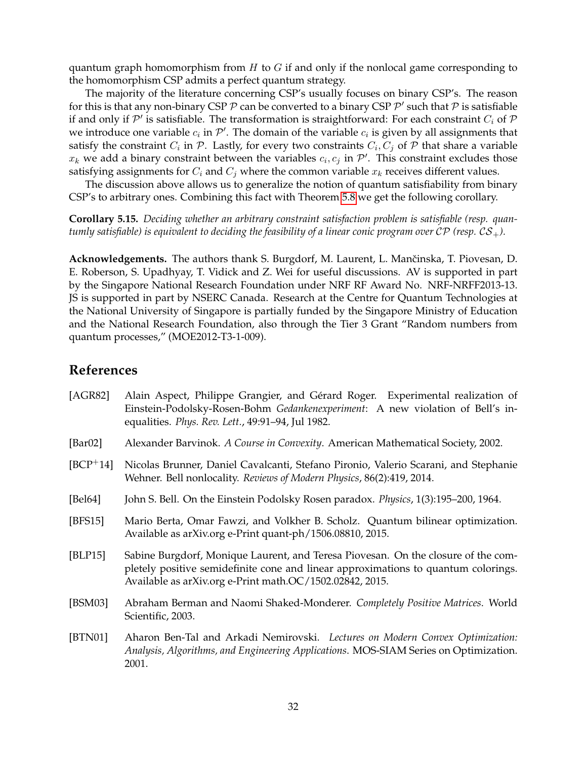quantum graph homomorphism from  $H$  to  $G$  if and only if the nonlocal game corresponding to the homomorphism CSP admits a perfect quantum strategy.

The majority of the literature concerning CSP's usually focuses on binary CSP's. The reason for this is that any non-binary CSP  $P$  can be converted to a binary CSP  $P'$  such that  $P$  is satisfiable if and only if  $\mathcal{P}'$  is satisfiable. The transformation is straightforward: For each constraint  $C_i$  of  $\mathcal P$ we introduce one variable  $c_i$  in  $\mathcal{P}'$ . The domain of the variable  $c_i$  is given by all assignments that satisfy the constraint  $C_i$  in  ${\cal P}.$  Lastly, for every two constraints  $C_i, C_j$  of  ${\cal P}$  that share a variable  $x_k$  we add a binary constraint between the variables  $c_i, c_j$  in  $\mathcal{P}'$ . This constraint excludes those satisfying assignments for  $C_i$  and  $C_j$  where the common variable  $x_k$  receives different values.

The discussion above allows us to generalize the notion of quantum satisfiability from binary CSP's to arbitrary ones. Combining this fact with Theorem [5.8](#page-27-1) we get the following corollary.

**Corollary 5.15.** *Deciding whether an arbitrary constraint satisfaction problem is satisfiable (resp. quantumly satisfiable) is equivalent to deciding the feasibility of a linear conic program over*  $\mathcal{CP}$  *(resp.*  $\mathcal{CS}_+$ ).

Acknowledgements. The authors thank S. Burgdorf, M. Laurent, L. Mančinska, T. Piovesan, D. E. Roberson, S. Upadhyay, T. Vidick and Z. Wei for useful discussions. AV is supported in part by the Singapore National Research Foundation under NRF RF Award No. NRF-NRFF2013-13. JS is supported in part by NSERC Canada. Research at the Centre for Quantum Technologies at the National University of Singapore is partially funded by the Singapore Ministry of Education and the National Research Foundation, also through the Tier 3 Grant "Random numbers from quantum processes," (MOE2012-T3-1-009).

# **References**

<span id="page-31-7"></span><span id="page-31-6"></span><span id="page-31-5"></span><span id="page-31-4"></span><span id="page-31-3"></span><span id="page-31-2"></span><span id="page-31-1"></span><span id="page-31-0"></span>

| [AGR82]     | Alain Aspect, Philippe Grangier, and Gérard Roger. Experimental realization of<br>Einstein-Podolsky-Rosen-Bohm Gedankenexperiment: A new violation of Bell's in-<br>equalities. <i>Phys. Rev. Lett.</i> , 49:91-94, Jul 1982.       |  |  |
|-------------|-------------------------------------------------------------------------------------------------------------------------------------------------------------------------------------------------------------------------------------|--|--|
| [ $Bar02$ ] | Alexander Barvinok. A Course in Convexity. American Mathematical Society, 2002.                                                                                                                                                     |  |  |
| $[BCP^+14]$ | Nicolas Brunner, Daniel Cavalcanti, Stefano Pironio, Valerio Scarani, and Stephanie<br>Wehner. Bell nonlocality. Reviews of Modern Physics, 86(2):419, 2014.                                                                        |  |  |
| [Bel64]     | John S. Bell. On the Einstein Podolsky Rosen paradox. Physics, 1(3):195-200, 1964.                                                                                                                                                  |  |  |
| [BFS15]     | Mario Berta, Omar Fawzi, and Volkher B. Scholz. Quantum bilinear optimization.<br>Available as arXiv.org e-Print quant-ph/1506.08810, 2015.                                                                                         |  |  |
| [BLP15]     | Sabine Burgdorf, Monique Laurent, and Teresa Piovesan. On the closure of the com-<br>pletely positive semidefinite cone and linear approximations to quantum colorings.<br>Available as arXiv.org e-Print math.OC/1502.02842, 2015. |  |  |
| [BSM03]     | Abraham Berman and Naomi Shaked-Monderer. Completely Positive Matrices. World<br>Scientific, 2003.                                                                                                                                  |  |  |
| [BTN01]     | Aharon Ben-Tal and Arkadi Nemirovski. Lectures on Modern Convex Optimization:<br>Analysis, Algorithms, and Engineering Applications. MOS-SIAM Series on Optimization.<br>2001.                                                      |  |  |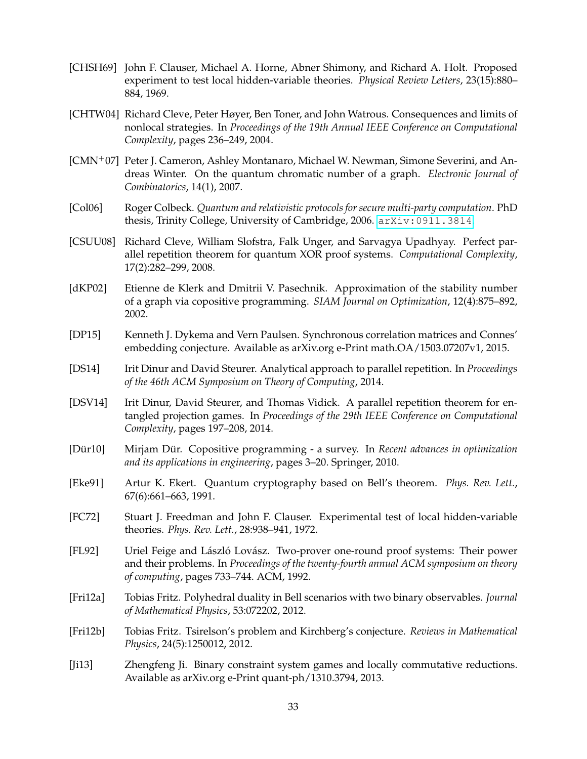- <span id="page-32-8"></span>[CHSH69] John F. Clauser, Michael A. Horne, Abner Shimony, and Richard A. Holt. Proposed experiment to test local hidden-variable theories. *Physical Review Letters*, 23(15):880– 884, 1969.
- <span id="page-32-3"></span>[CHTW04] Richard Cleve, Peter Høyer, Ben Toner, and John Watrous. Consequences and limits of nonlocal strategies. In *Proceedings of the 19th Annual IEEE Conference on Computational Complexity*, pages 236–249, 2004.
- <span id="page-32-14"></span>[CMN+07] Peter J. Cameron, Ashley Montanaro, Michael W. Newman, Simone Severini, and Andreas Winter. On the quantum chromatic number of a graph. *Electronic Journal of Combinatorics*, 14(1), 2007.
- <span id="page-32-2"></span>[Col06] Roger Colbeck. *Quantum and relativistic protocols for secure multi-party computation*. PhD thesis, Trinity College, University of Cambridge, 2006. [arXiv:0911.3814](http://arxiv.org/abs/0911.3814).
- <span id="page-32-5"></span>[CSUU08] Richard Cleve, William Slofstra, Falk Unger, and Sarvagya Upadhyay. Perfect parallel repetition theorem for quantum XOR proof systems. *Computational Complexity*, 17(2):282–299, 2008.
- <span id="page-32-9"></span>[dKP02] Etienne de Klerk and Dmitrii V. Pasechnik. Approximation of the stability number of a graph via copositive programming. *SIAM Journal on Optimization*, 12(4):875–892, 2002.
- <span id="page-32-13"></span>[DP15] Kenneth J. Dykema and Vern Paulsen. Synchronous correlation matrices and Connes' embedding conjecture. Available as arXiv.org e-Print math.OA/1503.07207v1, 2015.
- <span id="page-32-6"></span>[DS14] Irit Dinur and David Steurer. Analytical approach to parallel repetition. In *Proceedings of the 46th ACM Symposium on Theory of Computing*, 2014.
- <span id="page-32-7"></span>[DSV14] Irit Dinur, David Steurer, and Thomas Vidick. A parallel repetition theorem for entangled projection games. In *Proceedings of the 29th IEEE Conference on Computational Complexity*, pages 197–208, 2014.
- [Dür10] Mirjam Dür. Copositive programming a survey. In Recent advances in optimization *and its applications in engineering*, pages 3–20. Springer, 2010.
- <span id="page-32-1"></span>[Eke91] Artur K. Ekert. Quantum cryptography based on Bell's theorem. *Phys. Rev. Lett.*, 67(6):661–663, 1991.
- <span id="page-32-0"></span>[FC72] Stuart J. Freedman and John F. Clauser. Experimental test of local hidden-variable theories. *Phys. Rev. Lett.*, 28:938–941, 1972.
- <span id="page-32-4"></span>[FL92] Uriel Feige and László Lovász. Two-prover one-round proof systems: Their power and their problems. In *Proceedings of the twenty-fourth annual ACM symposium on theory of computing*, pages 733–744. ACM, 1992.
- <span id="page-32-12"></span>[Fri12a] Tobias Fritz. Polyhedral duality in Bell scenarios with two binary observables. *Journal of Mathematical Physics*, 53:072202, 2012.
- <span id="page-32-11"></span>[Fri12b] Tobias Fritz. Tsirelson's problem and Kirchberg's conjecture. *Reviews in Mathematical Physics*, 24(5):1250012, 2012.
- <span id="page-32-10"></span>[Ji13] Zhengfeng Ji. Binary constraint system games and locally commutative reductions. Available as arXiv.org e-Print quant-ph/1310.3794, 2013.